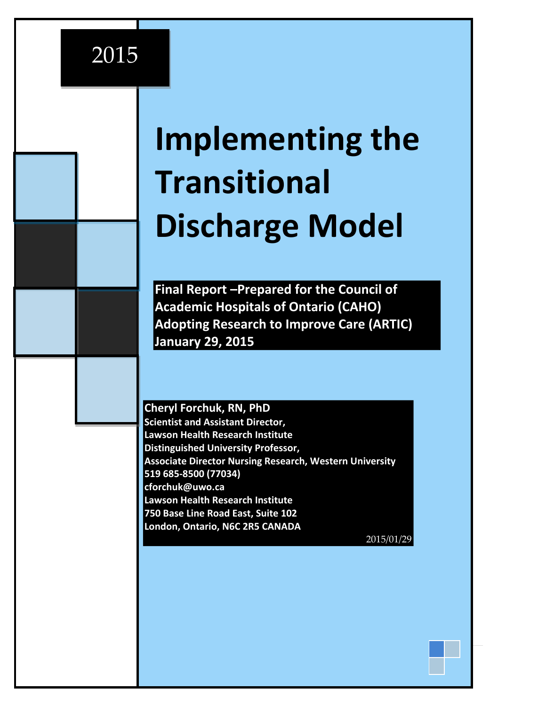## 2015

# **Implementing the Transitional Discharge Model**

**Final Report –Prepared for the Council of Academic Hospitals of Ontario (CAHO) Adopting Research to Improve Care (ARTIC) January 29, 2015**

#### **Cheryl Forchuk, RN, PhD**

**Scientist and Assistant Director, Lawson Health Research Institute Distinguished University Professor, Associate Director Nursing Research, Western University 519 685-8500 (77034) [cforchuk@uwo.ca](mailto:cforchuk@uwo.ca) Lawson Health Research Institute 750 Base Line Road East, Suite 102 London, Ontario, N6C 2R5 CANADA** 2015/01/29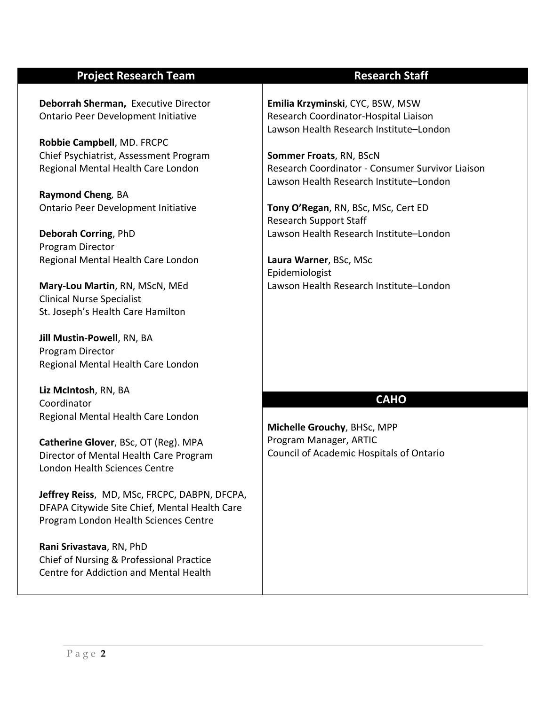#### **Project Research Team Research Staff**

**Deborrah Sherman,** Executive Director Ontario Peer Development Initiative

**Robbie Campbell**, MD. FRCPC Chief Psychiatrist, Assessment Program Regional Mental Health Care London

**Raymond Cheng***,* BA Ontario Peer Development Initiative

**Deborah Corring**, PhD Program Director Regional Mental Health Care London

**Mary-Lou Martin**, RN, MScN, MEd Clinical Nurse Specialist St. Joseph's Health Care Hamilton

**Jill Mustin-Powell**, RN, BA Program Director Regional Mental Health Care London

**Liz McIntosh**, RN, BA Coordinator Regional Mental Health Care London

**Catherine Glover**, BSc, OT (Reg). MPA Director of Mental Health Care Program London Health Sciences Centre

**Jeffrey Reiss**, MD, MSc, FRCPC, DABPN, DFCPA, DFAPA Citywide Site Chief, Mental Health Care Program London Health Sciences Centre

**Rani Srivastava**, RN, PhD Chief of Nursing & Professional Practice Centre for Addiction and Mental Health

**Emilia Krzyminski**, CYC, BSW, MSW Research Coordinator-Hospital Liaison Lawson Health Research Institute–London

**Sommer Froats**, RN, BScN Research Coordinator - Consumer Survivor Liaison Lawson Health Research Institute–London

**Tony O'Regan**, RN, BSc, MSc, Cert ED Research Support Staff Lawson Health Research Institute–London

**Laura Warner**, BSc, MSc Epidemiologist Lawson Health Research Institute–London

#### **CAHO**

**Michelle Grouchy**, BHSc, MPP Program Manager, ARTIC Council of Academic Hospitals of Ontario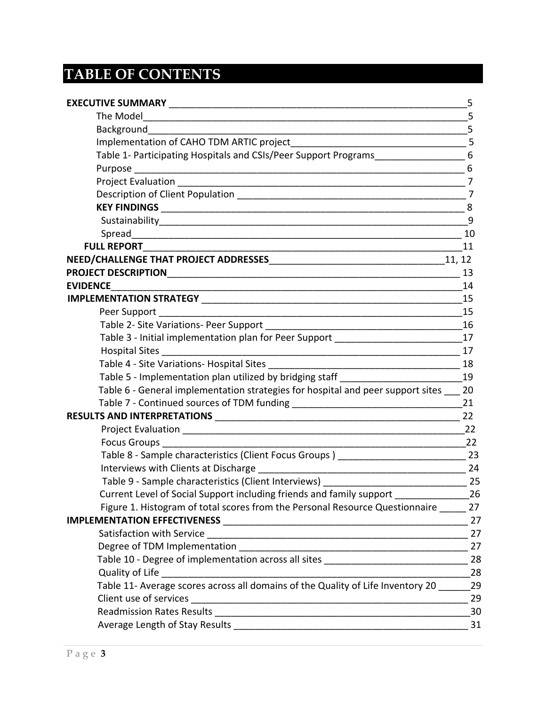## **TABLE OF CONTENTS**

|                                                                                                                        | - 5 |
|------------------------------------------------------------------------------------------------------------------------|-----|
|                                                                                                                        |     |
| Implementation of CAHO TDM ARTIC project                                                                               |     |
| Table 1- Participating Hospitals and CSIs/Peer Support Programs__________________6                                     |     |
|                                                                                                                        |     |
|                                                                                                                        |     |
|                                                                                                                        |     |
|                                                                                                                        |     |
|                                                                                                                        |     |
|                                                                                                                        |     |
| <b>FULL REPORT</b>                                                                                                     | 11  |
|                                                                                                                        |     |
|                                                                                                                        |     |
|                                                                                                                        |     |
|                                                                                                                        | 15  |
|                                                                                                                        |     |
|                                                                                                                        |     |
| Table 3 - Initial implementation plan for Peer Support _________________________17                                     |     |
| <b>Hospital Sites</b>                                                                                                  | 17  |
|                                                                                                                        |     |
| Table 5 - Implementation plan utilized by bridging staff _______________________                                       | 19  |
| Table 6 - General implementation strategies for hospital and peer support sites 20                                     |     |
|                                                                                                                        |     |
| <b>RESULTS AND INTERPRETATIONS</b>                                                                                     | 22  |
|                                                                                                                        | 22  |
|                                                                                                                        |     |
| Table 8 - Sample characteristics (Client Focus Groups) __________________________ 23                                   |     |
|                                                                                                                        | 24  |
|                                                                                                                        |     |
| Current Level of Social Support including friends and family support _________________26                               |     |
| Figure 1. Histogram of total scores from the Personal Resource Questionnaire 27                                        |     |
|                                                                                                                        | 27  |
| Satisfaction with Service <b>Commission Control</b> and Control and Control and Control and Control and Control and Co | 27  |
|                                                                                                                        | 27  |
| Table 10 - Degree of implementation across all sites ___________________________                                       | 28  |
| Quality of Life                                                                                                        | 28  |
| Table 11- Average scores across all domains of the Quality of Life Inventory 20                                        | 29  |
|                                                                                                                        | 29  |
|                                                                                                                        | 30  |
|                                                                                                                        | 31  |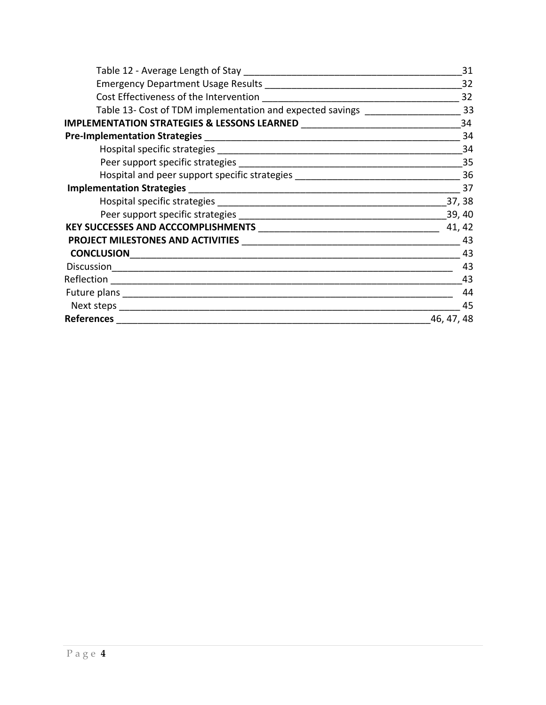|                                                                                  | 31         |
|----------------------------------------------------------------------------------|------------|
|                                                                                  | 32         |
|                                                                                  | 32         |
| Table 13- Cost of TDM implementation and expected savings ______________________ | 33         |
|                                                                                  | 34         |
|                                                                                  | 34         |
|                                                                                  | 34         |
|                                                                                  | 35         |
|                                                                                  |            |
|                                                                                  | 37         |
|                                                                                  | 37,38      |
|                                                                                  | 39, 40     |
|                                                                                  | 41, 42     |
|                                                                                  | 43         |
|                                                                                  | 43         |
|                                                                                  | 43         |
|                                                                                  | 43         |
|                                                                                  | 44         |
|                                                                                  | 45         |
| <b>References</b>                                                                | 46, 47, 48 |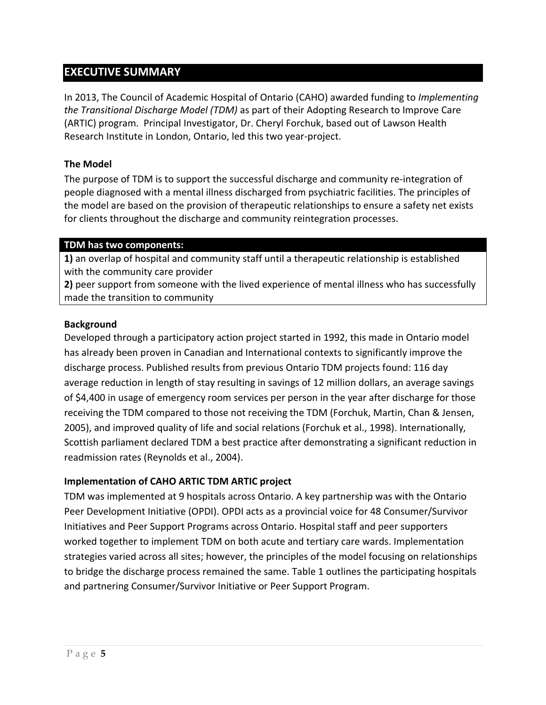#### **EXECUTIVE SUMMARY**

In 2013, The Council of Academic Hospital of Ontario (CAHO) awarded funding to *Implementing the Transitional Discharge Model (TDM)* as part of their Adopting Research to Improve Care (ARTIC) program. Principal Investigator, Dr. Cheryl Forchuk, based out of Lawson Health Research Institute in London, Ontario, led this two year-project.

#### **The Model**

The purpose of TDM is to support the successful discharge and community re-integration of people diagnosed with a mental illness discharged from psychiatric facilities. The principles of the model are based on the provision of therapeutic relationships to ensure a safety net exists for clients throughout the discharge and community reintegration processes.

#### **TDM has two components:**

**1)** an overlap of hospital and community staff until a therapeutic relationship is established with the community care provider

**2)** peer support from someone with the lived experience of mental illness who has successfully made the transition to community

#### **Background**

Developed through a participatory action project started in 1992, this made in Ontario model has already been proven in Canadian and International contexts to significantly improve the discharge process. Published results from previous Ontario TDM projects found: 116 day average reduction in length of stay resulting in savings of 12 million dollars, an average savings of \$4,400 in usage of emergency room services per person in the year after discharge for those receiving the TDM compared to those not receiving the TDM (Forchuk, Martin, Chan & Jensen, 2005), and improved quality of life and social relations (Forchuk et al., 1998). Internationally, Scottish parliament declared TDM a best practice after demonstrating a significant reduction in readmission rates (Reynolds et al., 2004).

#### **Implementation of CAHO ARTIC TDM ARTIC project**

TDM was implemented at 9 hospitals across Ontario. A key partnership was with the Ontario Peer Development Initiative (OPDI). OPDI acts as a provincial voice for 48 Consumer/Survivor Initiatives and Peer Support Programs across Ontario. Hospital staff and peer supporters worked together to implement TDM on both acute and tertiary care wards. Implementation strategies varied across all sites; however, the principles of the model focusing on relationships to bridge the discharge process remained the same. Table 1 outlines the participating hospitals and partnering Consumer/Survivor Initiative or Peer Support Program.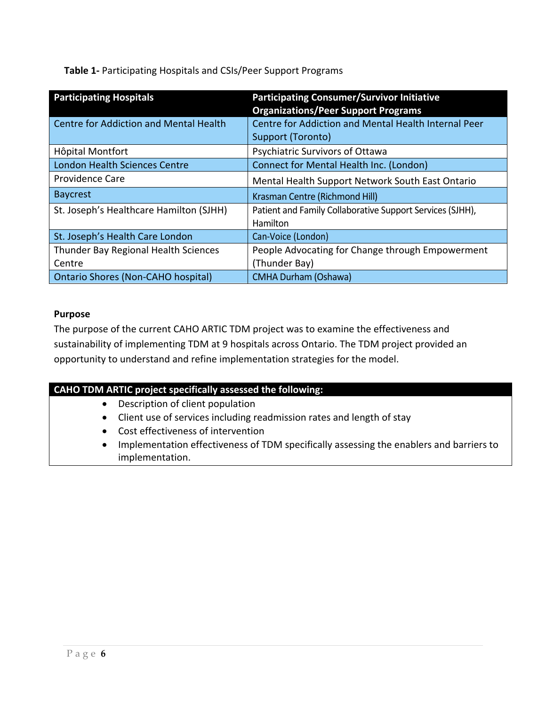**Table 1-** Participating Hospitals and CSIs/Peer Support Programs

| <b>Participating Hospitals</b>                | <b>Participating Consumer/Survivor Initiative</b><br><b>Organizations/Peer Support Programs</b> |
|-----------------------------------------------|-------------------------------------------------------------------------------------------------|
| <b>Centre for Addiction and Mental Health</b> | <b>Centre for Addiction and Mental Health Internal Peer</b>                                     |
|                                               | Support (Toronto)                                                                               |
| Hôpital Montfort                              | Psychiatric Survivors of Ottawa                                                                 |
| <b>London Health Sciences Centre</b>          | Connect for Mental Health Inc. (London)                                                         |
| <b>Providence Care</b>                        | Mental Health Support Network South East Ontario                                                |
| <b>Baycrest</b>                               | Krasman Centre (Richmond Hill)                                                                  |
| St. Joseph's Healthcare Hamilton (SJHH)       | Patient and Family Collaborative Support Services (SJHH),                                       |
|                                               | Hamilton                                                                                        |
| St. Joseph's Health Care London               | Can-Voice (London)                                                                              |
| Thunder Bay Regional Health Sciences          | People Advocating for Change through Empowerment                                                |
| Centre                                        | (Thunder Bay)                                                                                   |
| <b>Ontario Shores (Non-CAHO hospital)</b>     | <b>CMHA Durham (Oshawa)</b>                                                                     |

#### **Purpose**

The purpose of the current CAHO ARTIC TDM project was to examine the effectiveness and sustainability of implementing TDM at 9 hospitals across Ontario. The TDM project provided an opportunity to understand and refine implementation strategies for the model.

#### **CAHO TDM ARTIC project specifically assessed the following:**

- Description of client population
- Client use of services including readmission rates and length of stay
- Cost effectiveness of intervention
- Implementation effectiveness of TDM specifically assessing the enablers and barriers to implementation.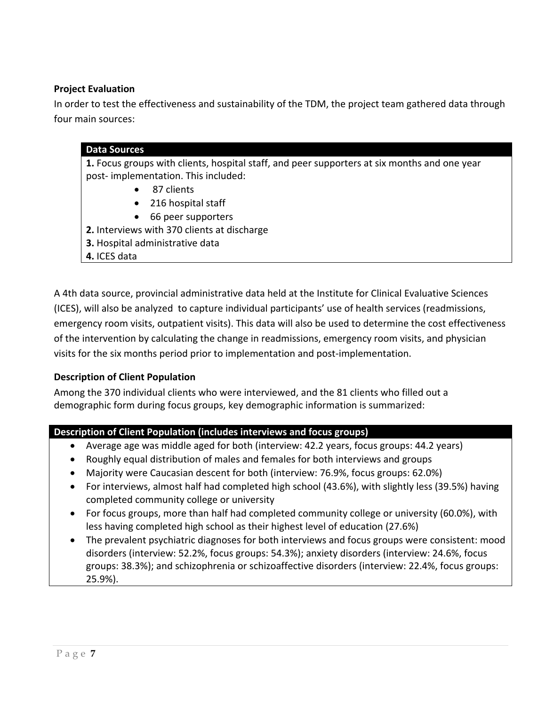#### **Project Evaluation**

In order to test the effectiveness and sustainability of the TDM, the project team gathered data through four main sources:

|              | 1. Focus groups with clients, hospital staff, and peer supporters at six months and one year |
|--------------|----------------------------------------------------------------------------------------------|
|              | post-implementation. This included:                                                          |
| $\bullet$    | 87 clients                                                                                   |
| $\bullet$    | 216 hospital staff                                                                           |
| $\bullet$    | 66 peer supporters                                                                           |
|              | 2. Interviews with 370 clients at discharge                                                  |
|              | 3. Hospital administrative data                                                              |
| 4. ICES data |                                                                                              |

A 4th data source, provincial administrative data held at the Institute for Clinical Evaluative Sciences (ICES), will also be analyzed to capture individual participants' use of health services (readmissions, emergency room visits, outpatient visits). This data will also be used to determine the cost effectiveness of the intervention by calculating the change in readmissions, emergency room visits, and physician visits for the six months period prior to implementation and post-implementation.

#### **Description of Client Population**

Among the 370 individual clients who were interviewed, and the 81 clients who filled out a demographic form during focus groups, key demographic information is summarized:

#### **Description of Client Population (includes interviews and focus groups)**

- Average age was middle aged for both (interview: 42.2 years, focus groups: 44.2 years)
- Roughly equal distribution of males and females for both interviews and groups
- Majority were Caucasian descent for both (interview: 76.9%, focus groups: 62.0%)
- For interviews, almost half had completed high school (43.6%), with slightly less (39.5%) having completed community college or university
- For focus groups, more than half had completed community college or university (60.0%), with less having completed high school as their highest level of education (27.6%)
- The prevalent psychiatric diagnoses for both interviews and focus groups were consistent: mood disorders (interview: 52.2%, focus groups: 54.3%); anxiety disorders (interview: 24.6%, focus groups: 38.3%); and schizophrenia or schizoaffective disorders (interview: 22.4%, focus groups: 25.9%).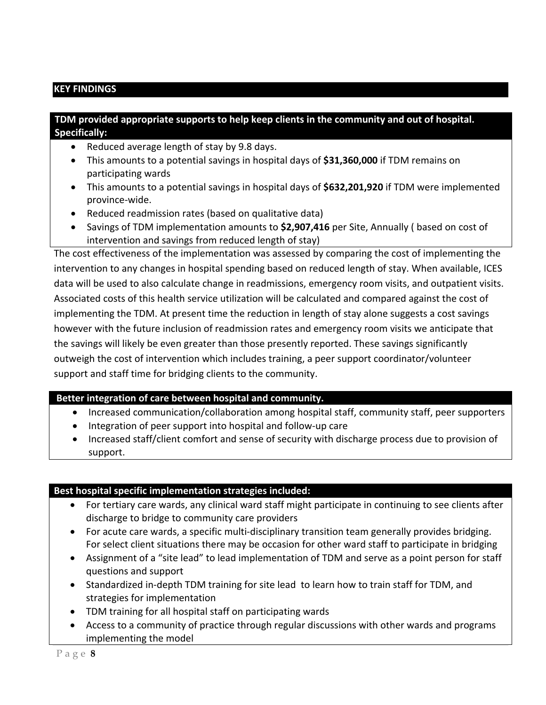#### **KEY FINDINGS**

#### **TDM provided appropriate supports to help keep clients in the community and out of hospital. Specifically:**

- Reduced average length of stay by 9.8 days.
- This amounts to a potential savings in hospital days of **\$31,360,000** if TDM remains on participating wards
- This amounts to a potential savings in hospital days of **\$632,201,920** if TDM were implemented province-wide.
- Reduced readmission rates (based on qualitative data)
- Savings of TDM implementation amounts to **\$2,907,416** per Site, Annually ( based on cost of intervention and savings from reduced length of stay)

The cost effectiveness of the implementation was assessed by comparing the cost of implementing the intervention to any changes in hospital spending based on reduced length of stay. When available, ICES data will be used to also calculate change in readmissions, emergency room visits, and outpatient visits. Associated costs of this health service utilization will be calculated and compared against the cost of implementing the TDM. At present time the reduction in length of stay alone suggests a cost savings however with the future inclusion of readmission rates and emergency room visits we anticipate that the savings will likely be even greater than those presently reported. These savings significantly outweigh the cost of intervention which includes training, a peer support coordinator/volunteer support and staff time for bridging clients to the community.

#### **Better integration of care between hospital and community.**

- Increased communication/collaboration among hospital staff, community staff, peer supporters
- Integration of peer support into hospital and follow-up care
- Increased staff/client comfort and sense of security with discharge process due to provision of support.

#### **Best hospital specific implementation strategies included:**

- For tertiary care wards, any clinical ward staff might participate in continuing to see clients after discharge to bridge to community care providers
- For acute care wards, a specific multi-disciplinary transition team generally provides bridging. For select client situations there may be occasion for other ward staff to participate in bridging
- Assignment of a "site lead" to lead implementation of TDM and serve as a point person for staff questions and support
- Standardized in-depth TDM training for site lead to learn how to train staff for TDM, and strategies for implementation
- TDM training for all hospital staff on participating wards
- Access to a community of practice through regular discussions with other wards and programs implementing the model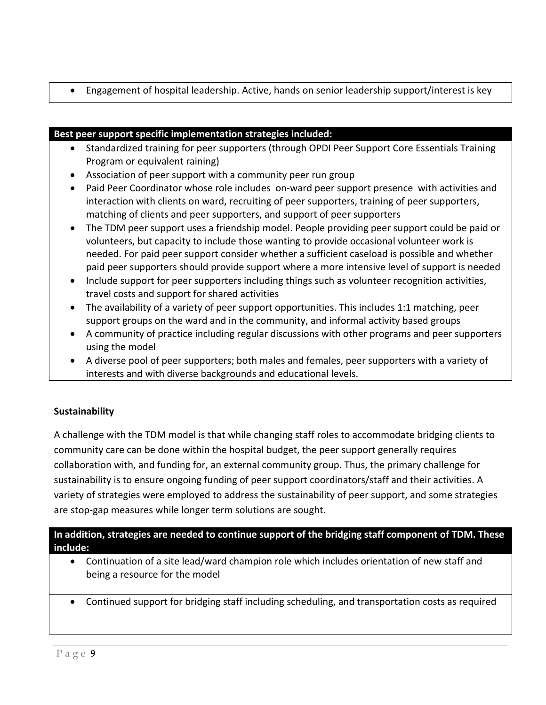Engagement of hospital leadership. Active, hands on senior leadership support/interest is key

#### **Best peer support specific implementation strategies included:**

- Standardized training for peer supporters (through OPDI Peer Support Core Essentials Training Program or equivalent raining)
- Association of peer support with a community peer run group
- Paid Peer Coordinator whose role includes on-ward peer support presence with activities and interaction with clients on ward, recruiting of peer supporters, training of peer supporters, matching of clients and peer supporters, and support of peer supporters
- The TDM peer support uses a friendship model. People providing peer support could be paid or volunteers, but capacity to include those wanting to provide occasional volunteer work is needed. For paid peer support consider whether a sufficient caseload is possible and whether paid peer supporters should provide support where a more intensive level of support is needed
- Include support for peer supporters including things such as volunteer recognition activities, travel costs and support for shared activities
- The availability of a variety of peer support opportunities. This includes 1:1 matching, peer support groups on the ward and in the community, and informal activity based groups
- A community of practice including regular discussions with other programs and peer supporters using the model
- A diverse pool of peer supporters; both males and females, peer supporters with a variety of interests and with diverse backgrounds and educational levels.

#### **Sustainability**

A challenge with the TDM model is that while changing staff roles to accommodate bridging clients to community care can be done within the hospital budget, the peer support generally requires collaboration with, and funding for, an external community group. Thus, the primary challenge for sustainability is to ensure ongoing funding of peer support coordinators/staff and their activities. A variety of strategies were employed to address the sustainability of peer support, and some strategies are stop-gap measures while longer term solutions are sought.

**In addition, strategies are needed to continue support of the bridging staff component of TDM. These include:**

- Continuation of a site lead/ward champion role which includes orientation of new staff and being a resource for the model
- Continued support for bridging staff including scheduling, and transportation costs as required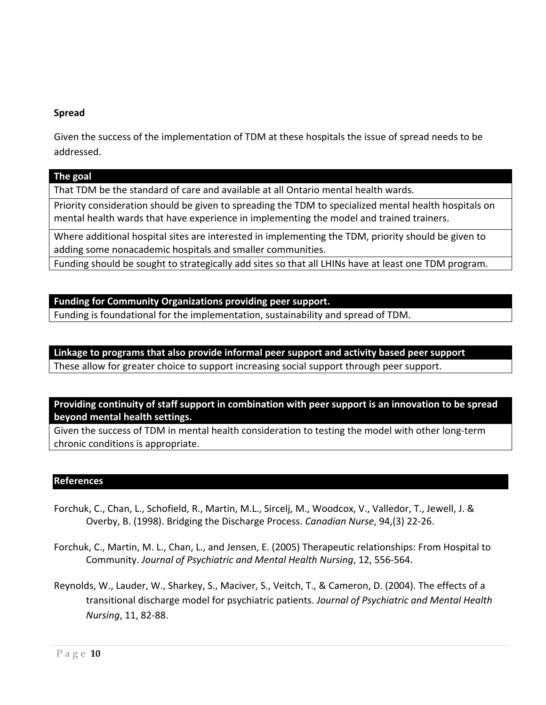#### **Spread**

Given the success of the implementation of TDM at these hospitals the issue of spread needs to be addressed.

#### **The goal**

That TDM be the standard of care and available at all Ontario mental health wards.

Priority consideration should be given to spreading the TDM to specialized mental health hospitals on mental health wards that have experience in implementing the model and trained trainers.

Where additional hospital sites are interested in implementing the TDM, priority should be given to adding some nonacademic hospitals and smaller communities.

Funding should be sought to strategically add sites so that all LHINs have at least one TDM program.

#### **Funding for Community Organizations providing peer support.**

Funding is foundational for the implementation, sustainability and spread of TDM.

**Linkage to programs that also provide informal peer support and activity based peer support** These allow for greater choice to support increasing social support through peer support.

**Providing continuity of staff support in combination with peer support is an innovation to be spread beyond mental health settings.**

Given the success of TDM in mental health consideration to testing the model with other long-term chronic conditions is appropriate.

#### **References**

- Forchuk, C., Chan, L., Schofield, R., Martin, M.L., Sircelj, M., Woodcox, V., Valledor, T., Jewell, J. & Overby, B. (1998). Bridging the Discharge Process. *Canadian Nurse*, 94,(3) 22-26.
- Forchuk, C., Martin, M. L., Chan, L., and Jensen, E. (2005) Therapeutic relationships: From Hospital to Community. *Journal of Psychiatric and Mental Health Nursing*, 12, 556-564.
- Reynolds, W., Lauder, W., Sharkey, S., Maciver, S., Veitch, T., & Cameron, D. (2004). The effects of a transitional discharge model for psychiatric patients. *Journal of Psychiatric and Mental Health Nursing*, 11, 82-88.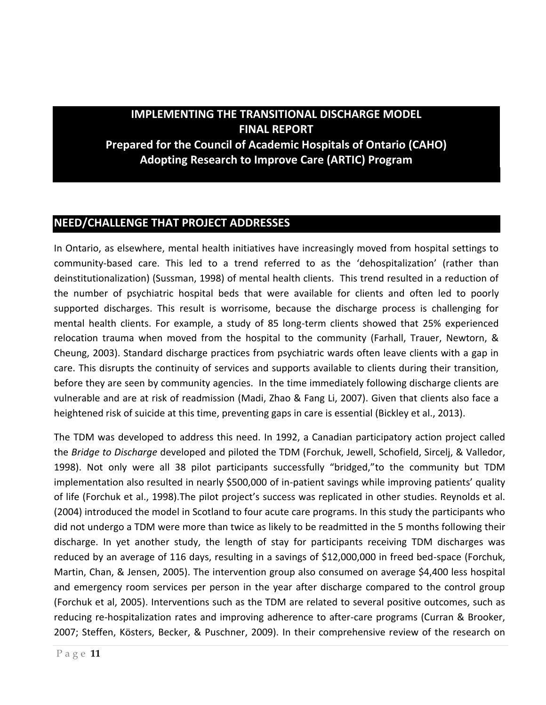**IMPLEMENTING THE TRANSITIONAL DISCHARGE MODEL FINAL REPORT Prepared for the Council of Academic Hospitals of Ontario (CAHO) Adopting Research to Improve Care (ARTIC) Program**

#### **NEED/CHALLENGE THAT PROJECT ADDRESSES**

In Ontario, as elsewhere, mental health initiatives have increasingly moved from hospital settings to community-based care. This led to a trend referred to as the 'dehospitalization' (rather than deinstitutionalization) (Sussman, 1998) of mental health clients. This trend resulted in a reduction of the number of psychiatric hospital beds that were available for clients and often led to poorly supported discharges. This result is worrisome, because the discharge process is challenging for mental health clients. For example, a study of 85 long-term clients showed that 25% experienced relocation trauma when moved from the hospital to the community (Farhall, Trauer, Newtorn, & Cheung, 2003). Standard discharge practices from psychiatric wards often leave clients with a gap in care. This disrupts the continuity of services and supports available to clients during their transition, before they are seen by community agencies. In the time immediately following discharge clients are vulnerable and are at risk of readmission (Madi, Zhao & Fang Li, 2007). Given that clients also face a heightened risk of suicide at this time, preventing gaps in care is essential (Bickley et al., 2013).

The TDM was developed to address this need. In 1992, a Canadian participatory action project called the *Bridge to Discharge* developed and piloted the TDM (Forchuk, Jewell, Schofield, Sircelj, & Valledor, 1998). Not only were all 38 pilot participants successfully "bridged,"to the community but TDM implementation also resulted in nearly \$500,000 of in-patient savings while improving patients' quality of life (Forchuk et al., 1998).The pilot project's success was replicated in other studies. Reynolds et al. (2004) introduced the model in Scotland to four acute care programs. In this study the participants who did not undergo a TDM were more than twice as likely to be readmitted in the 5 months following their discharge. In yet another study, the length of stay for participants receiving TDM discharges was reduced by an average of 116 days, resulting in a savings of \$12,000,000 in freed bed-space (Forchuk, Martin, Chan, & Jensen, 2005). The intervention group also consumed on average \$4,400 less hospital and emergency room services per person in the year after discharge compared to the control group (Forchuk et al, 2005). Interventions such as the TDM are related to several positive outcomes, such as reducing re-hospitalization rates and improving adherence to after-care programs (Curran & Brooker, 2007; Steffen, Kösters, Becker, & Puschner, 2009). In their comprehensive review of the research on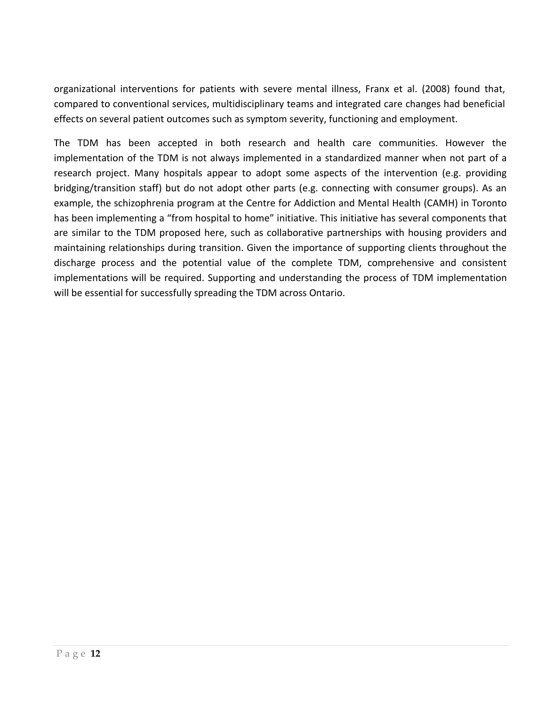organizational interventions for patients with severe mental illness, Franx et al. (2008) found that, compared to conventional services, multidisciplinary teams and integrated care changes had beneficial effects on several patient outcomes such as symptom severity, functioning and employment.

The TDM has been accepted in both research and health care communities. However the implementation of the TDM is not always implemented in a standardized manner when not part of a research project. Many hospitals appear to adopt some aspects of the intervention (e.g. providing bridging/transition staff) but do not adopt other parts (e.g. connecting with consumer groups). As an example, the schizophrenia program at the Centre for Addiction and Mental Health (CAMH) in Toronto has been implementing a "from hospital to home" initiative. This initiative has several components that are similar to the TDM proposed here, such as collaborative partnerships with housing providers and maintaining relationships during transition. Given the importance of supporting clients throughout the discharge process and the potential value of the complete TDM, comprehensive and consistent implementations will be required. Supporting and understanding the process of TDM implementation will be essential for successfully spreading the TDM across Ontario.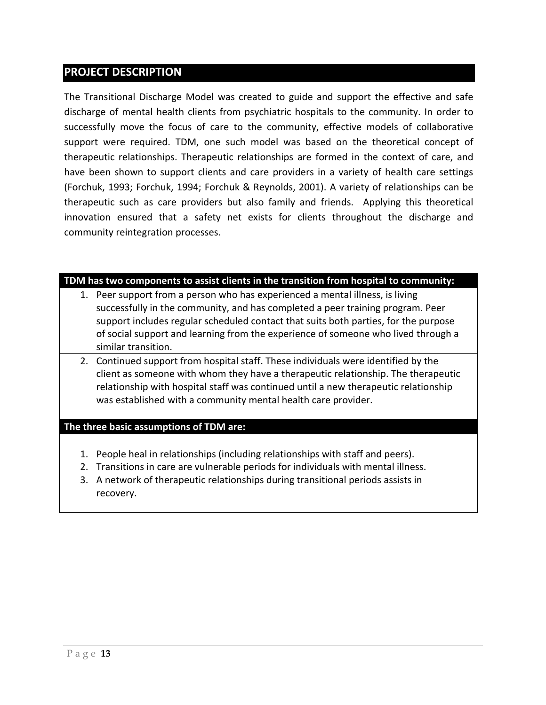#### **PROJECT DESCRIPTION**

The Transitional Discharge Model was created to guide and support the effective and safe discharge of mental health clients from psychiatric hospitals to the community. In order to successfully move the focus of care to the community, effective models of collaborative support were required. TDM, one such model was based on the theoretical concept of therapeutic relationships. Therapeutic relationships are formed in the context of care, and have been shown to support clients and care providers in a variety of health care settings (Forchuk, 1993; Forchuk, 1994; Forchuk & Reynolds, 2001). A variety of relationships can be therapeutic such as care providers but also family and friends. Applying this theoretical innovation ensured that a safety net exists for clients throughout the discharge and community reintegration processes.

#### **TDM has two components to assist clients in the transition from hospital to community:**

- 1. Peer support from a person who has experienced a mental illness, is living successfully in the community, and has completed a peer training program. Peer support includes regular scheduled contact that suits both parties, for the purpose of social support and learning from the experience of someone who lived through a similar transition.
- 2. Continued support from hospital staff. These individuals were identified by the client as someone with whom they have a therapeutic relationship. The therapeutic relationship with hospital staff was continued until a new therapeutic relationship was established with a community mental health care provider.

#### **The three basic assumptions of TDM are:**

- 1. People heal in relationships (including relationships with staff and peers).
- 2. Transitions in care are vulnerable periods for individuals with mental illness.
- 3. A network of therapeutic relationships during transitional periods assists in recovery.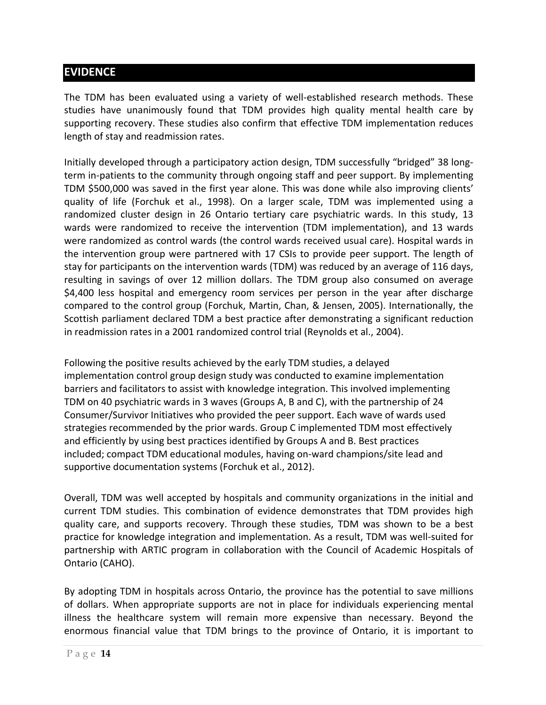#### **EVIDENCE**

The TDM has been evaluated using a variety of well-established research methods. These studies have unanimously found that TDM provides high quality mental health care by supporting recovery. These studies also confirm that effective TDM implementation reduces length of stay and readmission rates.

Initially developed through a participatory action design, TDM successfully "bridged" 38 longterm in-patients to the community through ongoing staff and peer support. By implementing TDM \$500,000 was saved in the first year alone. This was done while also improving clients' quality of life (Forchuk et al., 1998). On a larger scale, TDM was implemented using a randomized cluster design in 26 Ontario tertiary care psychiatric wards. In this study, 13 wards were randomized to receive the intervention (TDM implementation), and 13 wards were randomized as control wards (the control wards received usual care). Hospital wards in the intervention group were partnered with 17 CSIs to provide peer support. The length of stay for participants on the intervention wards (TDM) was reduced by an average of 116 days, resulting in savings of over 12 million dollars. The TDM group also consumed on average \$4,400 less hospital and emergency room services per person in the year after discharge compared to the control group (Forchuk, Martin, Chan, & Jensen, 2005). Internationally, the Scottish parliament declared TDM a best practice after demonstrating a significant reduction in readmission rates in a 2001 randomized control trial (Reynolds et al., 2004).

Following the positive results achieved by the early TDM studies, a delayed implementation control group design study was conducted to examine implementation barriers and facilitators to assist with knowledge integration. This involved implementing TDM on 40 psychiatric wards in 3 waves (Groups A, B and C), with the partnership of 24 Consumer/Survivor Initiatives who provided the peer support. Each wave of wards used strategies recommended by the prior wards. Group C implemented TDM most effectively and efficiently by using best practices identified by Groups A and B. Best practices included; compact TDM educational modules, having on-ward champions/site lead and supportive documentation systems (Forchuk et al., 2012).

Overall, TDM was well accepted by hospitals and community organizations in the initial and current TDM studies. This combination of evidence demonstrates that TDM provides high quality care, and supports recovery. Through these studies, TDM was shown to be a best practice for knowledge integration and implementation. As a result, TDM was well-suited for partnership with ARTIC program in collaboration with the Council of Academic Hospitals of Ontario (CAHO).

By adopting TDM in hospitals across Ontario, the province has the potential to save millions of dollars. When appropriate supports are not in place for individuals experiencing mental illness the healthcare system will remain more expensive than necessary. Beyond the enormous financial value that TDM brings to the province of Ontario, it is important to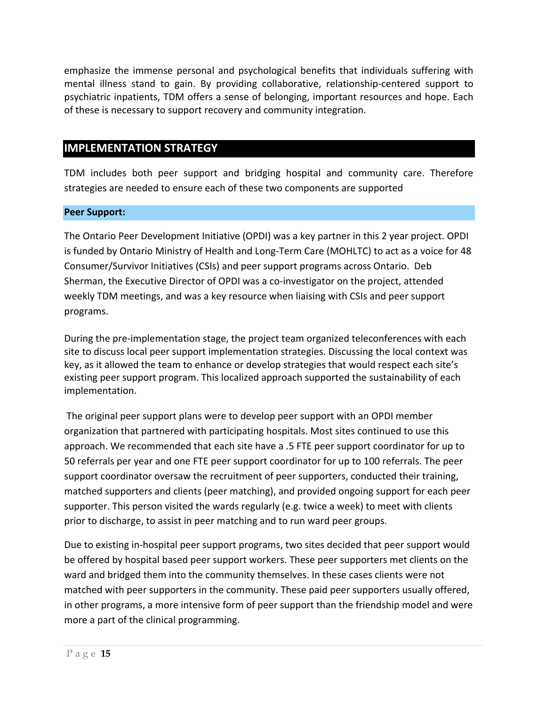emphasize the immense personal and psychological benefits that individuals suffering with mental illness stand to gain. By providing collaborative, relationship-centered support to psychiatric inpatients, TDM offers a sense of belonging, important resources and hope. Each of these is necessary to support recovery and community integration.

#### **IMPLEMENTATION STRATEGY**

TDM includes both peer support and bridging hospital and community care. Therefore strategies are needed to ensure each of these two components are supported

#### **Peer Support:**

The Ontario Peer Development Initiative (OPDI) was a key partner in this 2 year project. OPDI is funded by Ontario Ministry of Health and Long-Term Care (MOHLTC) to act as a voice for 48 Consumer/Survivor Initiatives (CSIs) and peer support programs across Ontario. Deb Sherman, the Executive Director of OPDI was a co-investigator on the project, attended weekly TDM meetings, and was a key resource when liaising with CSIs and peer support programs.

During the pre-implementation stage, the project team organized teleconferences with each site to discuss local peer support implementation strategies. Discussing the local context was key, as it allowed the team to enhance or develop strategies that would respect each site's existing peer support program. This localized approach supported the sustainability of each implementation.

The original peer support plans were to develop peer support with an OPDI member organization that partnered with participating hospitals. Most sites continued to use this approach. We recommended that each site have a .5 FTE peer support coordinator for up to 50 referrals per year and one FTE peer support coordinator for up to 100 referrals. The peer support coordinator oversaw the recruitment of peer supporters, conducted their training, matched supporters and clients (peer matching), and provided ongoing support for each peer supporter. This person visited the wards regularly (e.g. twice a week) to meet with clients prior to discharge, to assist in peer matching and to run ward peer groups.

Due to existing in-hospital peer support programs, two sites decided that peer support would be offered by hospital based peer support workers. These peer supporters met clients on the ward and bridged them into the community themselves. In these cases clients were not matched with peer supporters in the community. These paid peer supporters usually offered, in other programs, a more intensive form of peer support than the friendship model and were more a part of the clinical programming.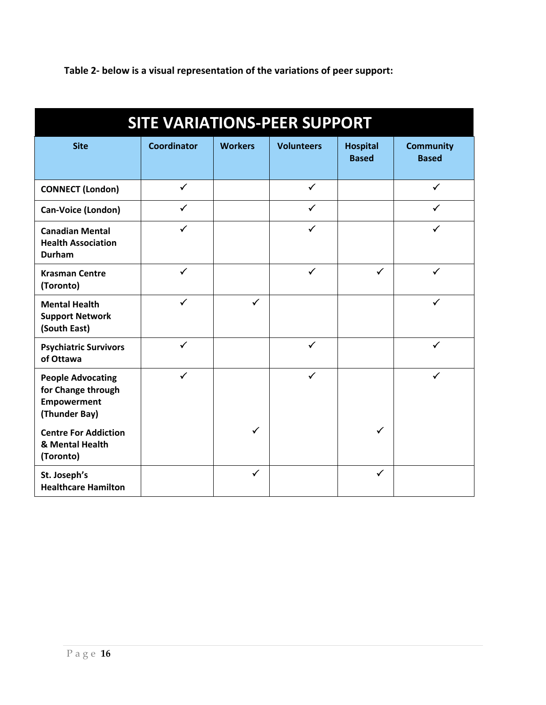**Table 2- below is a visual representation of the variations of peer support:** 

| <b>SITE VARIATIONS-PEER SUPPORT</b>                                                   |                    |                |                   |                                 |                                  |
|---------------------------------------------------------------------------------------|--------------------|----------------|-------------------|---------------------------------|----------------------------------|
| <b>Site</b>                                                                           | <b>Coordinator</b> | <b>Workers</b> | <b>Volunteers</b> | <b>Hospital</b><br><b>Based</b> | <b>Community</b><br><b>Based</b> |
| <b>CONNECT (London)</b>                                                               | $\checkmark$       |                | $\checkmark$      |                                 | $\checkmark$                     |
| Can-Voice (London)                                                                    | $\checkmark$       |                | $\checkmark$      |                                 | $\checkmark$                     |
| <b>Canadian Mental</b><br><b>Health Association</b><br><b>Durham</b>                  | $\checkmark$       |                | $\checkmark$      |                                 | $\checkmark$                     |
| <b>Krasman Centre</b><br>(Toronto)                                                    | $\checkmark$       |                | $\checkmark$      | $\checkmark$                    | $\checkmark$                     |
| <b>Mental Health</b><br><b>Support Network</b><br>(South East)                        | $\checkmark$       | $\checkmark$   |                   |                                 | $\checkmark$                     |
| <b>Psychiatric Survivors</b><br>of Ottawa                                             | $\checkmark$       |                | $\checkmark$      |                                 | $\checkmark$                     |
| <b>People Advocating</b><br>for Change through<br><b>Empowerment</b><br>(Thunder Bay) | $\checkmark$       |                | $\checkmark$      |                                 | $\checkmark$                     |
| <b>Centre For Addiction</b><br>& Mental Health<br>(Toronto)                           |                    | $\checkmark$   |                   | $\checkmark$                    |                                  |
| St. Joseph's<br><b>Healthcare Hamilton</b>                                            |                    | ✓              |                   | ✓                               |                                  |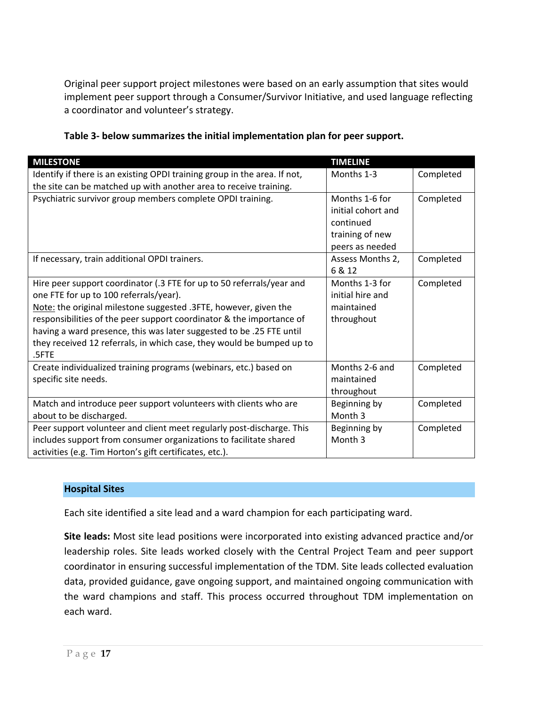Original peer support project milestones were based on an early assumption that sites would implement peer support through a Consumer/Survivor Initiative, and used language reflecting a coordinator and volunteer's strategy.

| <b>MILESTONE</b>                                                          | <b>TIMELINE</b>    |           |
|---------------------------------------------------------------------------|--------------------|-----------|
| Identify if there is an existing OPDI training group in the area. If not, | Months 1-3         | Completed |
| the site can be matched up with another area to receive training.         |                    |           |
| Psychiatric survivor group members complete OPDI training.                | Months 1-6 for     | Completed |
|                                                                           | initial cohort and |           |
|                                                                           | continued          |           |
|                                                                           | training of new    |           |
|                                                                           | peers as needed    |           |
| If necessary, train additional OPDI trainers.                             | Assess Months 2,   | Completed |
|                                                                           | 6 & 12             |           |
| Hire peer support coordinator (.3 FTE for up to 50 referrals/year and     | Months 1-3 for     | Completed |
| one FTE for up to 100 referrals/year).                                    | initial hire and   |           |
| Note: the original milestone suggested .3FTE, however, given the          | maintained         |           |
| responsibilities of the peer support coordinator & the importance of      | throughout         |           |
| having a ward presence, this was later suggested to be .25 FTE until      |                    |           |
| they received 12 referrals, in which case, they would be bumped up to     |                    |           |
| .5FTE                                                                     |                    |           |
| Create individualized training programs (webinars, etc.) based on         | Months 2-6 and     | Completed |
| specific site needs.                                                      | maintained         |           |
|                                                                           | throughout         |           |
| Match and introduce peer support volunteers with clients who are          | Beginning by       | Completed |
| about to be discharged.                                                   | Month <sub>3</sub> |           |
| Peer support volunteer and client meet regularly post-discharge. This     | Beginning by       | Completed |
| includes support from consumer organizations to facilitate shared         | Month 3            |           |
| activities (e.g. Tim Horton's gift certificates, etc.).                   |                    |           |

#### **Hospital Sites**

Each site identified a site lead and a ward champion for each participating ward.

**Site leads:** Most site lead positions were incorporated into existing advanced practice and/or leadership roles. Site leads worked closely with the Central Project Team and peer support coordinator in ensuring successful implementation of the TDM. Site leads collected evaluation data, provided guidance, gave ongoing support, and maintained ongoing communication with the ward champions and staff. This process occurred throughout TDM implementation on each ward.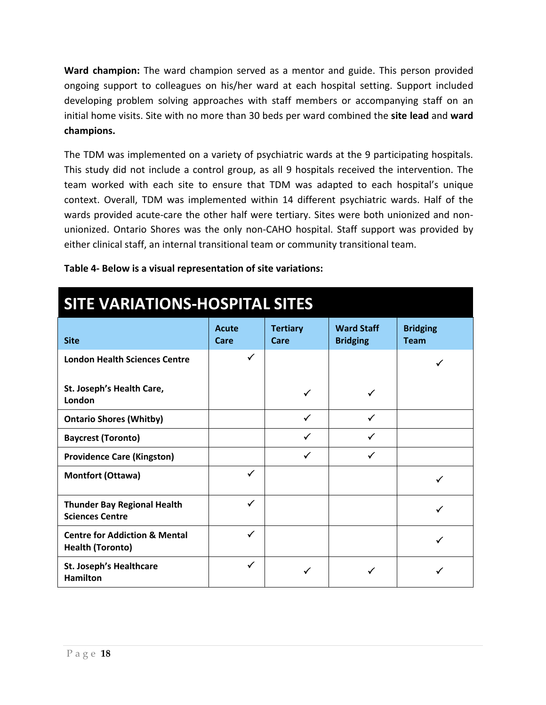**Ward champion:** The ward champion served as a mentor and guide. This person provided ongoing support to colleagues on his/her ward at each hospital setting. Support included developing problem solving approaches with staff members or accompanying staff on an initial home visits. Site with no more than 30 beds per ward combined the **site lead** and **ward champions.**

The TDM was implemented on a variety of psychiatric wards at the 9 participating hospitals. This study did not include a control group, as all 9 hospitals received the intervention. The team worked with each site to ensure that TDM was adapted to each hospital's unique context. Overall, TDM was implemented within 14 different psychiatric wards. Half of the wards provided acute-care the other half were tertiary. Sites were both unionized and nonunionized. Ontario Shores was the only non-CAHO hospital. Staff support was provided by either clinical staff, an internal transitional team or community transitional team.

**Table 4- Below is a visual representation of site variations:** 

| <b>SITE VARIATIONS-HOSPITAL SITES</b>                               |                      |                         |                                      |                                |
|---------------------------------------------------------------------|----------------------|-------------------------|--------------------------------------|--------------------------------|
| <b>Site</b>                                                         | <b>Acute</b><br>Care | <b>Tertiary</b><br>Care | <b>Ward Staff</b><br><b>Bridging</b> | <b>Bridging</b><br><b>Team</b> |
| <b>London Health Sciences Centre</b>                                | ✓                    |                         |                                      |                                |
| St. Joseph's Health Care,<br>London                                 |                      | ✓                       |                                      |                                |
| <b>Ontario Shores (Whitby)</b>                                      |                      | ✓                       | ✓                                    |                                |
| <b>Baycrest (Toronto)</b>                                           |                      | ✓                       |                                      |                                |
| <b>Providence Care (Kingston)</b>                                   |                      | ✓                       |                                      |                                |
| <b>Montfort (Ottawa)</b>                                            | ✓                    |                         |                                      |                                |
| <b>Thunder Bay Regional Health</b><br><b>Sciences Centre</b>        | $\checkmark$         |                         |                                      | ✓                              |
| <b>Centre for Addiction &amp; Mental</b><br><b>Health (Toronto)</b> | ✓                    |                         |                                      | ✓                              |
| <b>St. Joseph's Healthcare</b><br><b>Hamilton</b>                   | ✓                    |                         |                                      |                                |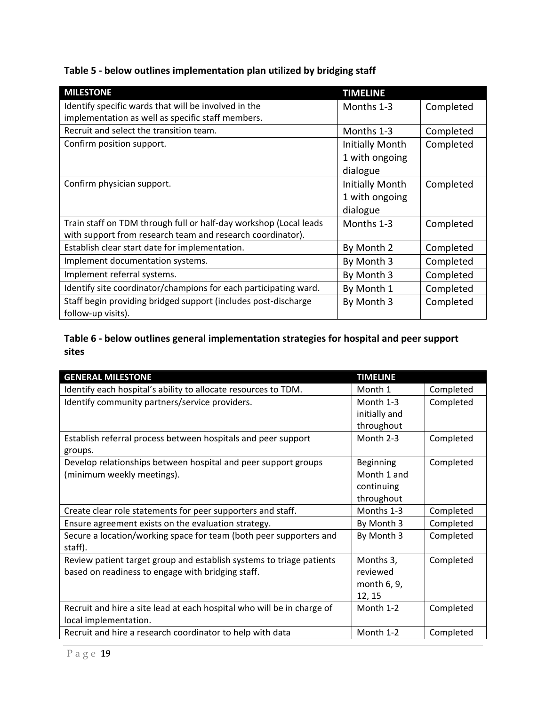**Table 5 - below outlines implementation plan utilized by bridging staff** 

| <b>MILESTONE</b>                                                  | <b>TIMELINE</b> |           |
|-------------------------------------------------------------------|-----------------|-----------|
| Identify specific wards that will be involved in the              | Months 1-3      | Completed |
| implementation as well as specific staff members.                 |                 |           |
| Recruit and select the transition team.                           | Months 1-3      | Completed |
| Confirm position support.                                         | Initially Month | Completed |
|                                                                   | 1 with ongoing  |           |
|                                                                   | dialogue        |           |
| Confirm physician support.                                        | Initially Month | Completed |
|                                                                   | 1 with ongoing  |           |
|                                                                   | dialogue        |           |
| Train staff on TDM through full or half-day workshop (Local leads | Months 1-3      | Completed |
| with support from research team and research coordinator).        |                 |           |
| Establish clear start date for implementation.                    | By Month 2      | Completed |
| Implement documentation systems.                                  | By Month 3      | Completed |
| Implement referral systems.                                       | By Month 3      | Completed |
| Identify site coordinator/champions for each participating ward.  | By Month 1      | Completed |
| Staff begin providing bridged support (includes post-discharge    | By Month 3      | Completed |
| follow-up visits).                                                |                 |           |

#### **Table 6 - below outlines general implementation strategies for hospital and peer support sites**

| <b>GENERAL MILESTONE</b>                                               | <b>TIMELINE</b> |           |
|------------------------------------------------------------------------|-----------------|-----------|
| Identify each hospital's ability to allocate resources to TDM.         | Month 1         | Completed |
| Identify community partners/service providers.                         | Month 1-3       | Completed |
|                                                                        | initially and   |           |
|                                                                        | throughout      |           |
| Establish referral process between hospitals and peer support          | Month 2-3       | Completed |
| groups.                                                                |                 |           |
| Develop relationships between hospital and peer support groups         | Beginning       | Completed |
| (minimum weekly meetings).                                             | Month 1 and     |           |
|                                                                        | continuing      |           |
|                                                                        | throughout      |           |
| Create clear role statements for peer supporters and staff.            | Months 1-3      | Completed |
| Ensure agreement exists on the evaluation strategy.                    | By Month 3      | Completed |
| Secure a location/working space for team (both peer supporters and     | By Month 3      | Completed |
| staff).                                                                |                 |           |
| Review patient target group and establish systems to triage patients   | Months 3,       | Completed |
| based on readiness to engage with bridging staff.                      | reviewed        |           |
|                                                                        | month 6, 9,     |           |
|                                                                        | 12, 15          |           |
| Recruit and hire a site lead at each hospital who will be in charge of | Month 1-2       | Completed |
| local implementation.                                                  |                 |           |
| Recruit and hire a research coordinator to help with data              | Month 1-2       | Completed |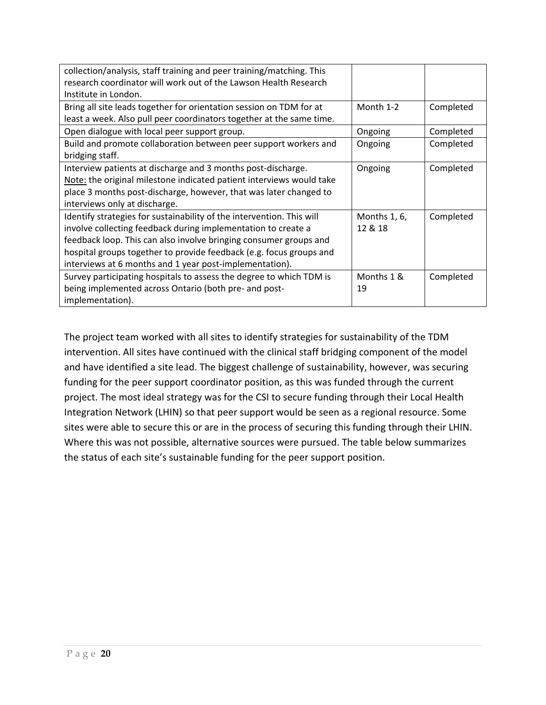| collection/analysis, staff training and peer training/matching. This  |              |           |
|-----------------------------------------------------------------------|--------------|-----------|
| research coordinator will work out of the Lawson Health Research      |              |           |
| Institute in London.                                                  |              |           |
| Bring all site leads together for orientation session on TDM for at   | Month 1-2    | Completed |
| least a week. Also pull peer coordinators together at the same time.  |              |           |
| Open dialogue with local peer support group.                          | Ongoing      | Completed |
| Build and promote collaboration between peer support workers and      | Ongoing      | Completed |
| bridging staff.                                                       |              |           |
| Interview patients at discharge and 3 months post-discharge.          | Ongoing      | Completed |
| Note: the original milestone indicated patient interviews would take  |              |           |
| place 3 months post-discharge, however, that was later changed to     |              |           |
| interviews only at discharge.                                         |              |           |
| Identify strategies for sustainability of the intervention. This will | Months 1, 6, | Completed |
| involve collecting feedback during implementation to create a         | 12 & 18      |           |
| feedback loop. This can also involve bringing consumer groups and     |              |           |
| hospital groups together to provide feedback (e.g. focus groups and   |              |           |
| interviews at 6 months and 1 year post-implementation).               |              |           |
| Survey participating hospitals to assess the degree to which TDM is   | Months 1 &   | Completed |
| being implemented across Ontario (both pre- and post-                 | 19           |           |
| implementation).                                                      |              |           |

The project team worked with all sites to identify strategies for sustainability of the TDM intervention. All sites have continued with the clinical staff bridging component of the model and have identified a site lead. The biggest challenge of sustainability, however, was securing funding for the peer support coordinator position, as this was funded through the current project. The most ideal strategy was for the CSI to secure funding through their Local Health Integration Network (LHIN) so that peer support would be seen as a regional resource. Some sites were able to secure this or are in the process of securing this funding through their LHIN. Where this was not possible, alternative sources were pursued. The table below summarizes the status of each site's sustainable funding for the peer support position.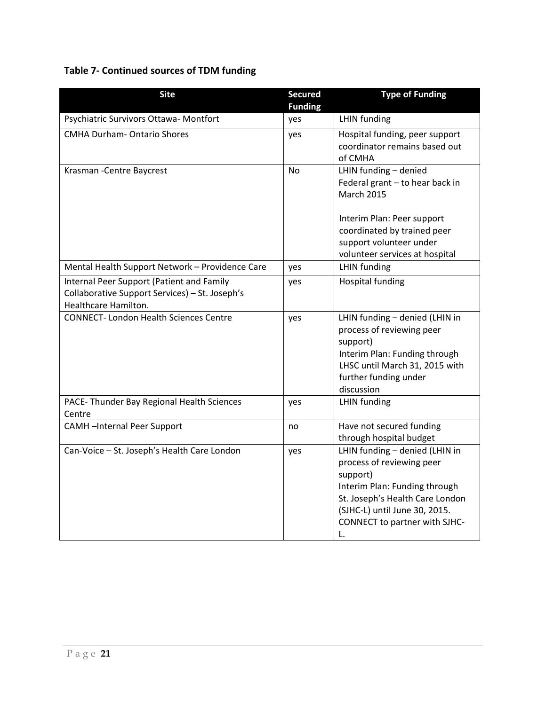#### **Table 7- Continued sources of TDM funding**

| <b>Site</b>                                                                                                         | <b>Secured</b> | <b>Type of Funding</b>                                                                                                                                                                                              |
|---------------------------------------------------------------------------------------------------------------------|----------------|---------------------------------------------------------------------------------------------------------------------------------------------------------------------------------------------------------------------|
|                                                                                                                     | <b>Funding</b> |                                                                                                                                                                                                                     |
| Psychiatric Survivors Ottawa- Montfort                                                                              | yes            | <b>LHIN</b> funding                                                                                                                                                                                                 |
| <b>CMHA Durham- Ontario Shores</b>                                                                                  | yes            | Hospital funding, peer support<br>coordinator remains based out<br>of CMHA                                                                                                                                          |
| Krasman - Centre Baycrest                                                                                           | <b>No</b>      | LHIN funding - denied<br>Federal grant - to hear back in<br><b>March 2015</b><br>Interim Plan: Peer support                                                                                                         |
|                                                                                                                     |                | coordinated by trained peer<br>support volunteer under<br>volunteer services at hospital                                                                                                                            |
| Mental Health Support Network - Providence Care                                                                     | yes            | LHIN funding                                                                                                                                                                                                        |
| Internal Peer Support (Patient and Family<br>Collaborative Support Services) - St. Joseph's<br>Healthcare Hamilton. | yes            | <b>Hospital funding</b>                                                                                                                                                                                             |
| <b>CONNECT-London Health Sciences Centre</b>                                                                        | yes            | LHIN funding - denied (LHIN in<br>process of reviewing peer<br>support)<br>Interim Plan: Funding through<br>LHSC until March 31, 2015 with<br>further funding under<br>discussion                                   |
| PACE- Thunder Bay Regional Health Sciences<br>Centre                                                                | yes            | <b>LHIN</b> funding                                                                                                                                                                                                 |
| <b>CAMH-Internal Peer Support</b>                                                                                   | no             | Have not secured funding<br>through hospital budget                                                                                                                                                                 |
| Can-Voice - St. Joseph's Health Care London                                                                         | yes            | LHIN funding - denied (LHIN in<br>process of reviewing peer<br>support)<br>Interim Plan: Funding through<br>St. Joseph's Health Care London<br>(SJHC-L) until June 30, 2015.<br>CONNECT to partner with SJHC-<br>L. |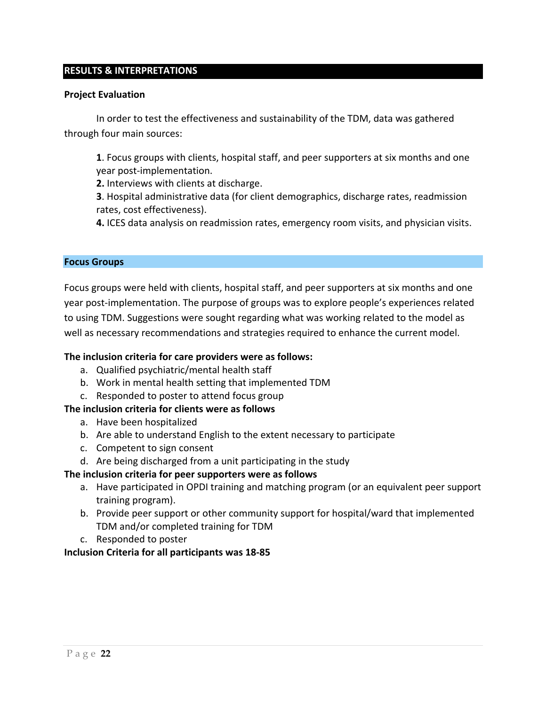#### **RESULTS & INTERPRETATIONS**

#### **Project Evaluation**

In order to test the effectiveness and sustainability of the TDM, data was gathered through four main sources:

**1**. Focus groups with clients, hospital staff, and peer supporters at six months and one year post-implementation.

**2.** Interviews with clients at discharge.

**3**. Hospital administrative data (for client demographics, discharge rates, readmission rates, cost effectiveness).

**4.** ICES data analysis on readmission rates, emergency room visits, and physician visits.

#### **Focus Groups**

Focus groups were held with clients, hospital staff, and peer supporters at six months and one year post-implementation. The purpose of groups was to explore people's experiences related to using TDM. Suggestions were sought regarding what was working related to the model as well as necessary recommendations and strategies required to enhance the current model.

#### **The inclusion criteria for care providers were as follows:**

- a. Qualified psychiatric/mental health staff
- b. Work in mental health setting that implemented TDM
- c. Responded to poster to attend focus group
- **The inclusion criteria for clients were as follows**
	- a. Have been hospitalized
	- b. Are able to understand English to the extent necessary to participate
	- c. Competent to sign consent
	- d. Are being discharged from a unit participating in the study

#### **The inclusion criteria for peer supporters were as follows**

- a. Have participated in OPDI training and matching program (or an equivalent peer support training program).
- b. Provide peer support or other community support for hospital/ward that implemented TDM and/or completed training for TDM
- c. Responded to poster

#### **Inclusion Criteria for all participants was 18-85**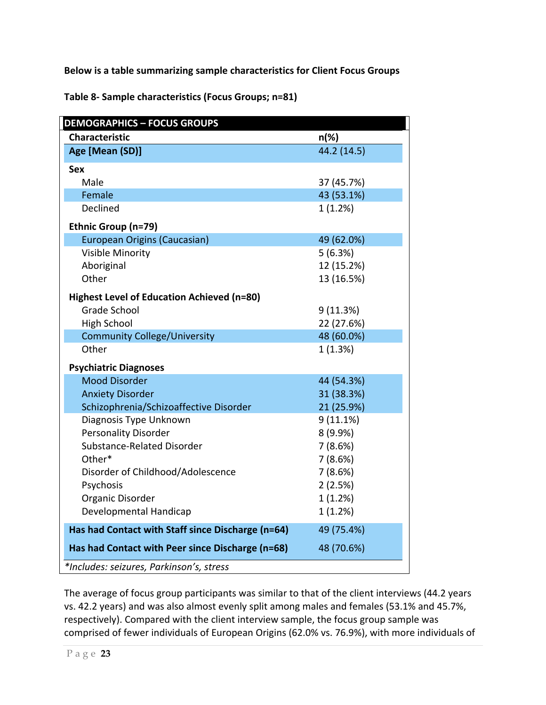**Below is a table summarizing sample characteristics for Client Focus Groups** 

**Table 8- Sample characteristics (Focus Groups; n=81)**

| <b>DEMOGRAPHICS - FOCUS GROUPS</b><br><b>Characteristic</b> |             |
|-------------------------------------------------------------|-------------|
|                                                             | $n(\%)$     |
| Age [Mean (SD)]                                             | 44.2 (14.5) |
| <b>Sex</b>                                                  |             |
| Male                                                        | 37 (45.7%)  |
| Female                                                      | 43 (53.1%)  |
| Declined                                                    | 1(1.2%)     |
| Ethnic Group (n=79)                                         |             |
| European Origins (Caucasian)                                | 49 (62.0%)  |
| Visible Minority                                            | 5(6.3%)     |
| Aboriginal                                                  | 12 (15.2%)  |
| Other                                                       | 13 (16.5%)  |
| Highest Level of Education Achieved (n=80)                  |             |
| <b>Grade School</b>                                         | 9(11.3%)    |
| <b>High School</b>                                          | 22 (27.6%)  |
| <b>Community College/University</b>                         | 48 (60.0%)  |
| Other                                                       | 1(1.3%)     |
| <b>Psychiatric Diagnoses</b>                                |             |
| <b>Mood Disorder</b>                                        | 44 (54.3%)  |
| <b>Anxiety Disorder</b>                                     | 31 (38.3%)  |
| Schizophrenia/Schizoaffective Disorder                      | 21 (25.9%)  |
| Diagnosis Type Unknown                                      | $9(11.1\%)$ |
| <b>Personality Disorder</b>                                 | 8 (9.9%)    |
| Substance-Related Disorder                                  | 7(8.6%)     |
| Other*                                                      | 7(8.6%)     |
| Disorder of Childhood/Adolescence                           | 7(8.6%)     |
| Psychosis                                                   | 2(2.5%)     |
| Organic Disorder                                            | 1(1.2%)     |
| Developmental Handicap                                      | 1(1.2%)     |
| Has had Contact with Staff since Discharge (n=64)           | 49 (75.4%)  |
| Has had Contact with Peer since Discharge (n=68)            | 48 (70.6%)  |

The average of focus group participants was similar to that of the client interviews (44.2 years vs. 42.2 years) and was also almost evenly split among males and females (53.1% and 45.7%, respectively). Compared with the client interview sample, the focus group sample was comprised of fewer individuals of European Origins (62.0% vs. 76.9%), with more individuals of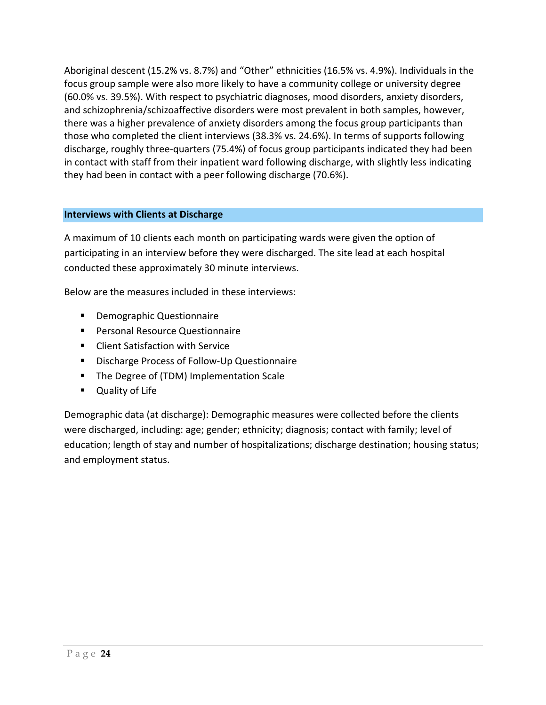Aboriginal descent (15.2% vs. 8.7%) and "Other" ethnicities (16.5% vs. 4.9%). Individuals in the focus group sample were also more likely to have a community college or university degree (60.0% vs. 39.5%). With respect to psychiatric diagnoses, mood disorders, anxiety disorders, and schizophrenia/schizoaffective disorders were most prevalent in both samples, however, there was a higher prevalence of anxiety disorders among the focus group participants than those who completed the client interviews (38.3% vs. 24.6%). In terms of supports following discharge, roughly three-quarters (75.4%) of focus group participants indicated they had been in contact with staff from their inpatient ward following discharge, with slightly less indicating they had been in contact with a peer following discharge (70.6%).

#### **Interviews with Clients at Discharge**

A maximum of 10 clients each month on participating wards were given the option of participating in an interview before they were discharged. The site lead at each hospital conducted these approximately 30 minute interviews.

Below are the measures included in these interviews:

- **•** Demographic Questionnaire
- Personal Resource Questionnaire
- **EXECUTE: Client Satisfaction with Service**
- **Discharge Process of Follow-Up Questionnaire**
- **The Degree of (TDM) Implementation Scale**
- Quality of Life

Demographic data (at discharge): Demographic measures were collected before the clients were discharged, including: age; gender; ethnicity; diagnosis; contact with family; level of education; length of stay and number of hospitalizations; discharge destination; housing status; and employment status.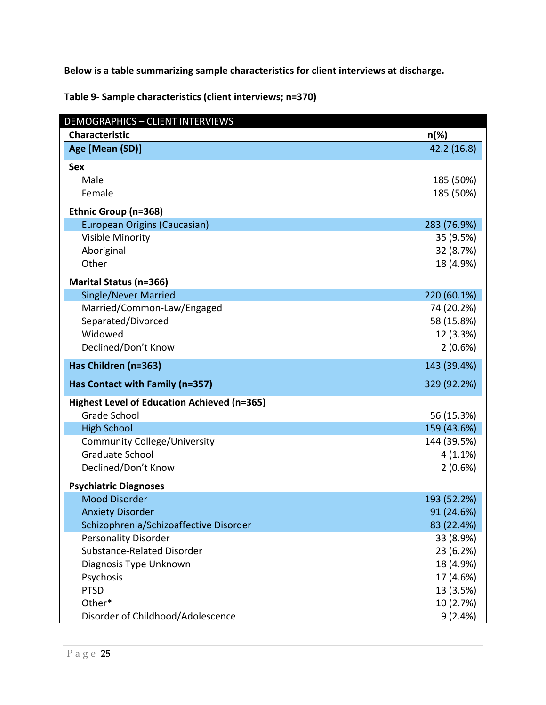**Below is a table summarizing sample characteristics for client interviews at discharge.** 

**Table 9- Sample characteristics (client interviews; n=370)**

| <b>DEMOGRAPHICS - CLIENT INTERVIEWS</b>     |             |
|---------------------------------------------|-------------|
| <b>Characteristic</b>                       | $n(\%)$     |
| Age [Mean (SD)]                             | 42.2 (16.8) |
| <b>Sex</b>                                  |             |
| Male                                        | 185 (50%)   |
| Female                                      | 185 (50%)   |
| Ethnic Group (n=368)                        |             |
| European Origins (Caucasian)                | 283 (76.9%) |
| <b>Visible Minority</b>                     | 35 (9.5%)   |
| Aboriginal                                  | 32 (8.7%)   |
| Other                                       | 18 (4.9%)   |
| <b>Marital Status (n=366)</b>               |             |
| <b>Single/Never Married</b>                 | 220 (60.1%) |
| Married/Common-Law/Engaged                  | 74 (20.2%)  |
| Separated/Divorced                          | 58 (15.8%)  |
| Widowed                                     | 12 (3.3%)   |
| Declined/Don't Know                         | 2(0.6%)     |
| Has Children (n=363)                        | 143 (39.4%) |
| Has Contact with Family (n=357)             | 329 (92.2%) |
| Highest Level of Education Achieved (n=365) |             |
| <b>Grade School</b>                         | 56 (15.3%)  |
| <b>High School</b>                          | 159 (43.6%) |
| <b>Community College/University</b>         | 144 (39.5%) |
| <b>Graduate School</b>                      | $4(1.1\%)$  |
| Declined/Don't Know                         | 2(0.6%)     |
| <b>Psychiatric Diagnoses</b>                |             |
| <b>Mood Disorder</b>                        | 193 (52.2%) |
| <b>Anxiety Disorder</b>                     | 91 (24.6%)  |
| Schizophrenia/Schizoaffective Disorder      | 83 (22.4%)  |
| <b>Personality Disorder</b>                 | 33 (8.9%)   |
| Substance-Related Disorder                  | 23 (6.2%)   |
| Diagnosis Type Unknown                      | 18 (4.9%)   |
| Psychosis                                   | 17 (4.6%)   |
| <b>PTSD</b>                                 | 13 (3.5%)   |
| Other*                                      | 10 (2.7%)   |
| Disorder of Childhood/Adolescence           | 9(2.4%)     |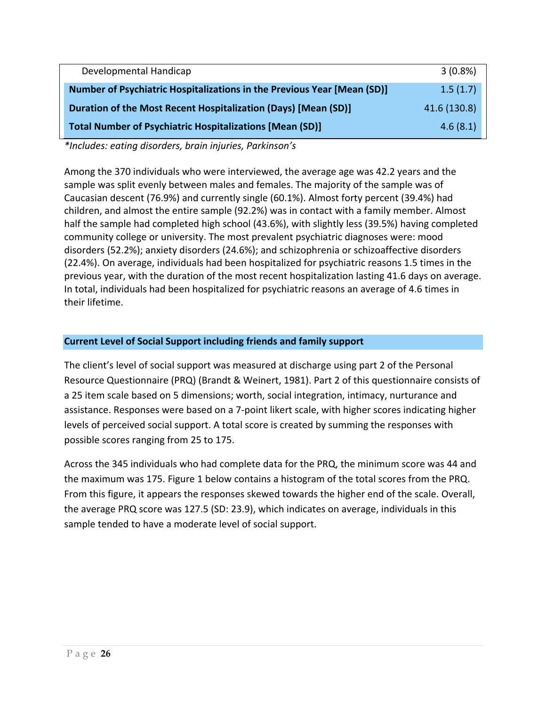| Developmental Handicap                                                  | $3(0.8\%)$   |
|-------------------------------------------------------------------------|--------------|
| Number of Psychiatric Hospitalizations in the Previous Year [Mean (SD)] | 1.5(1.7)     |
| Duration of the Most Recent Hospitalization (Days) [Mean (SD)]          | 41.6 (130.8) |
| <b>Total Number of Psychiatric Hospitalizations [Mean (SD)]</b>         | 4.6(8.1)     |

*\*Includes: eating disorders, brain injuries, Parkinson's*

Among the 370 individuals who were interviewed, the average age was 42.2 years and the sample was split evenly between males and females. The majority of the sample was of Caucasian descent (76.9%) and currently single (60.1%). Almost forty percent (39.4%) had children, and almost the entire sample (92.2%) was in contact with a family member. Almost half the sample had completed high school (43.6%), with slightly less (39.5%) having completed community college or university. The most prevalent psychiatric diagnoses were: mood disorders (52.2%); anxiety disorders (24.6%); and schizophrenia or schizoaffective disorders (22.4%). On average, individuals had been hospitalized for psychiatric reasons 1.5 times in the previous year, with the duration of the most recent hospitalization lasting 41.6 days on average. In total, individuals had been hospitalized for psychiatric reasons an average of 4.6 times in their lifetime.

#### **Current Level of Social Support including friends and family support**

The client's level of social support was measured at discharge using part 2 of the Personal Resource Questionnaire (PRQ) (Brandt & Weinert, 1981). Part 2 of this questionnaire consists of a 25 item scale based on 5 dimensions; worth, social integration, intimacy, nurturance and assistance. Responses were based on a 7-point likert scale, with higher scores indicating higher levels of perceived social support. A total score is created by summing the responses with possible scores ranging from 25 to 175.

Across the 345 individuals who had complete data for the PRQ, the minimum score was 44 and the maximum was 175. Figure 1 below contains a histogram of the total scores from the PRQ. From this figure, it appears the responses skewed towards the higher end of the scale. Overall, the average PRQ score was 127.5 (SD: 23.9), which indicates on average, individuals in this sample tended to have a moderate level of social support.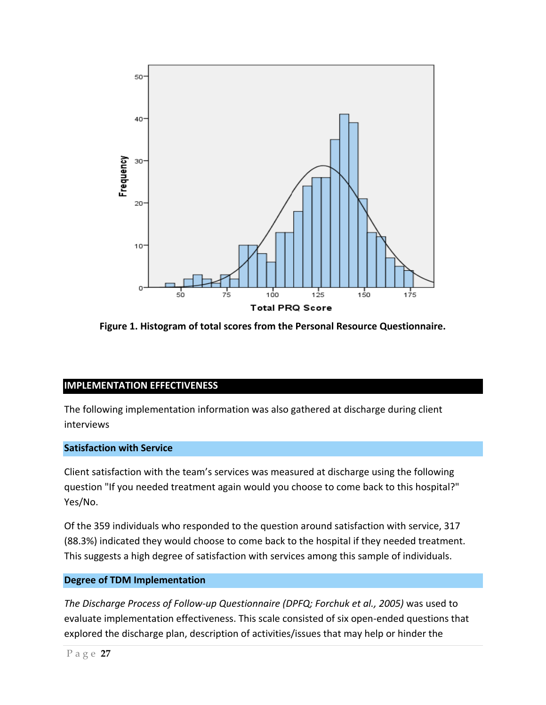

**Figure 1. Histogram of total scores from the Personal Resource Questionnaire.**

#### **IMPLEMENTATION EFFECTIVENESS**

The following implementation information was also gathered at discharge during client interviews

#### **Satisfaction with Service**

Client satisfaction with the team's services was measured at discharge using the following question "If you needed treatment again would you choose to come back to this hospital?" Yes/No.

Of the 359 individuals who responded to the question around satisfaction with service, 317 (88.3%) indicated they would choose to come back to the hospital if they needed treatment. This suggests a high degree of satisfaction with services among this sample of individuals.

#### **Degree of TDM Implementation**

*The Discharge Process of Follow-up Questionnaire (DPFQ; Forchuk et al., 2005)* was used to evaluate implementation effectiveness. This scale consisted of six open-ended questions that explored the discharge plan, description of activities/issues that may help or hinder the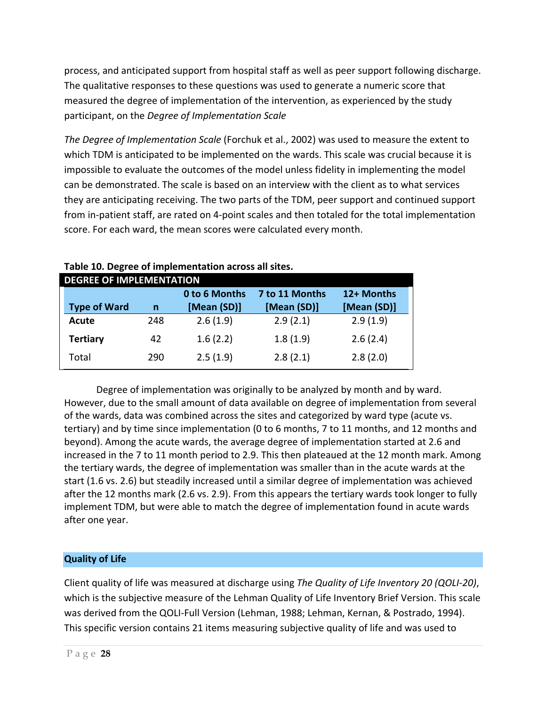process, and anticipated support from hospital staff as well as peer support following discharge. The qualitative responses to these questions was used to generate a numeric score that measured the degree of implementation of the intervention, as experienced by the study participant, on the *Degree of Implementation Scale*

*The Degree of Implementation Scale* (Forchuk et al., 2002) was used to measure the extent to which TDM is anticipated to be implemented on the wards. This scale was crucial because it is impossible to evaluate the outcomes of the model unless fidelity in implementing the model can be demonstrated. The scale is based on an interview with the client as to what services they are anticipating receiving. The two parts of the TDM, peer support and continued support from in-patient staff, are rated on 4-point scales and then totaled for the total implementation score. For each ward, the mean scores were calculated every month.

| <b>DEGREE OF IMPLEMENTATION</b> |     |               |                |             |
|---------------------------------|-----|---------------|----------------|-------------|
|                                 |     | 0 to 6 Months | 7 to 11 Months | 12+ Months  |
| <b>Type of Ward</b>             | n   | [Mean (SD)]   | [Mean (SD)]    | [Mean (SD)] |
| Acute                           | 248 | 2.6(1.9)      | 2.9(2.1)       | 2.9(1.9)    |
| <b>Tertiary</b>                 | 42  | 1.6(2.2)      | 1.8(1.9)       | 2.6(2.4)    |
| Total                           | 290 | 2.5(1.9)      | 2.8(2.1)       | 2.8(2.0)    |

#### **Table 10. Degree of implementation across all sites.**

Degree of implementation was originally to be analyzed by month and by ward. However, due to the small amount of data available on degree of implementation from several of the wards, data was combined across the sites and categorized by ward type (acute vs. tertiary) and by time since implementation (0 to 6 months, 7 to 11 months, and 12 months and beyond). Among the acute wards, the average degree of implementation started at 2.6 and increased in the 7 to 11 month period to 2.9. This then plateaued at the 12 month mark. Among the tertiary wards, the degree of implementation was smaller than in the acute wards at the start (1.6 vs. 2.6) but steadily increased until a similar degree of implementation was achieved after the 12 months mark (2.6 vs. 2.9). From this appears the tertiary wards took longer to fully implement TDM, but were able to match the degree of implementation found in acute wards after one year.

#### **Quality of Life**

Client quality of life was measured at discharge using *The Quality of Life Inventory 20 (QOLI-20)*, which is the subjective measure of the Lehman Quality of Life Inventory Brief Version. This scale was derived from the QOLI-Full Version (Lehman, 1988; Lehman, Kernan, & Postrado, 1994). This specific version contains 21 items measuring subjective quality of life and was used to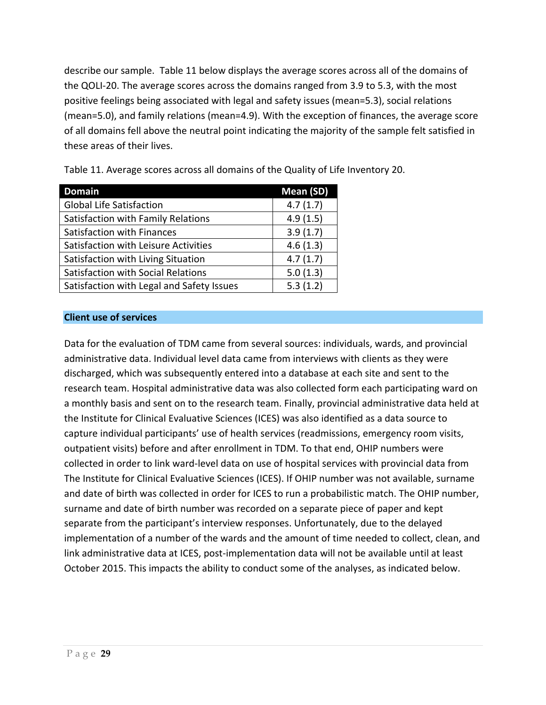describe our sample. Table 11 below displays the average scores across all of the domains of the QOLI-20. The average scores across the domains ranged from 3.9 to 5.3, with the most positive feelings being associated with legal and safety issues (mean=5.3), social relations (mean=5.0), and family relations (mean=4.9). With the exception of finances, the average score of all domains fell above the neutral point indicating the majority of the sample felt satisfied in these areas of their lives.

| <b>Domain</b>                             | Mean (SD) |
|-------------------------------------------|-----------|
| <b>Global Life Satisfaction</b>           | 4.7(1.7)  |
| Satisfaction with Family Relations        | 4.9(1.5)  |
| Satisfaction with Finances                | 3.9(1.7)  |
| Satisfaction with Leisure Activities      | 4.6(1.3)  |
| Satisfaction with Living Situation        | 4.7(1.7)  |
| <b>Satisfaction with Social Relations</b> | 5.0(1.3)  |
| Satisfaction with Legal and Safety Issues | 5.3(1.2)  |

Table 11. Average scores across all domains of the Quality of Life Inventory 20.

#### **Client use of services**

Data for the evaluation of TDM came from several sources: individuals, wards, and provincial administrative data. Individual level data came from interviews with clients as they were discharged, which was subsequently entered into a database at each site and sent to the research team. Hospital administrative data was also collected form each participating ward on a monthly basis and sent on to the research team. Finally, provincial administrative data held at the Institute for Clinical Evaluative Sciences (ICES) was also identified as a data source to capture individual participants' use of health services (readmissions, emergency room visits, outpatient visits) before and after enrollment in TDM. To that end, OHIP numbers were collected in order to link ward-level data on use of hospital services with provincial data from The Institute for Clinical Evaluative Sciences (ICES). If OHIP number was not available, surname and date of birth was collected in order for ICES to run a probabilistic match. The OHIP number, surname and date of birth number was recorded on a separate piece of paper and kept separate from the participant's interview responses. Unfortunately, due to the delayed implementation of a number of the wards and the amount of time needed to collect, clean, and link administrative data at ICES, post-implementation data will not be available until at least October 2015. This impacts the ability to conduct some of the analyses, as indicated below.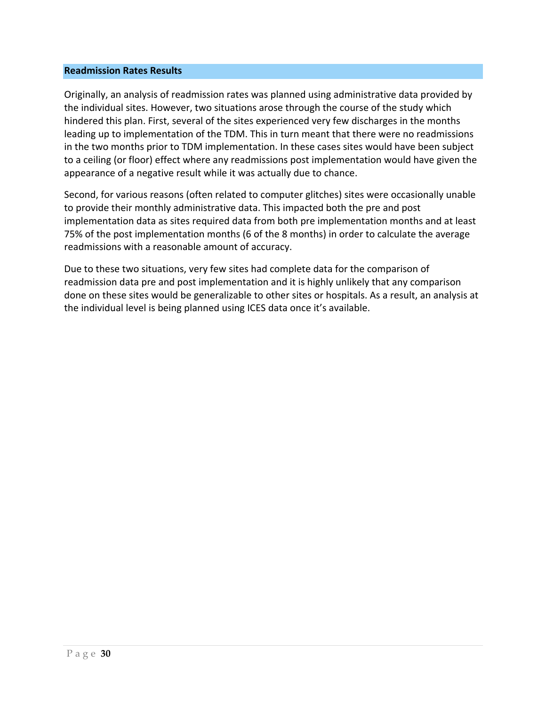#### **Readmission Rates Results**

Originally, an analysis of readmission rates was planned using administrative data provided by the individual sites. However, two situations arose through the course of the study which hindered this plan. First, several of the sites experienced very few discharges in the months leading up to implementation of the TDM. This in turn meant that there were no readmissions in the two months prior to TDM implementation. In these cases sites would have been subject to a ceiling (or floor) effect where any readmissions post implementation would have given the appearance of a negative result while it was actually due to chance.

Second, for various reasons (often related to computer glitches) sites were occasionally unable to provide their monthly administrative data. This impacted both the pre and post implementation data as sites required data from both pre implementation months and at least 75% of the post implementation months (6 of the 8 months) in order to calculate the average readmissions with a reasonable amount of accuracy.

Due to these two situations, very few sites had complete data for the comparison of readmission data pre and post implementation and it is highly unlikely that any comparison done on these sites would be generalizable to other sites or hospitals. As a result, an analysis at the individual level is being planned using ICES data once it's available.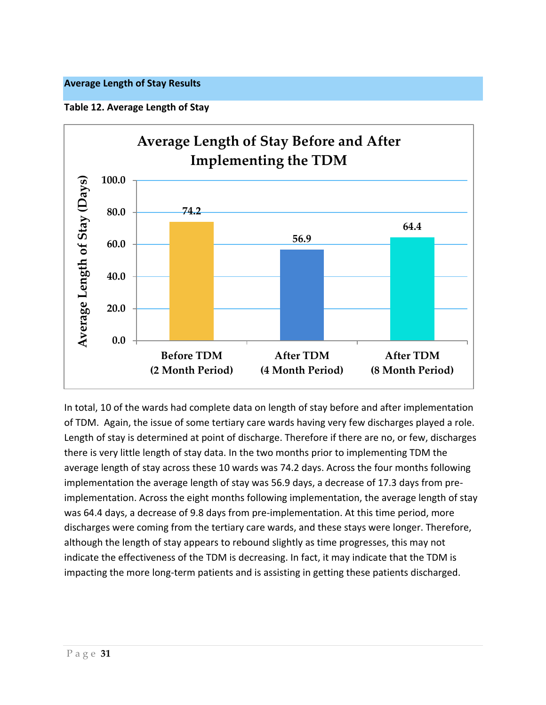#### **Average Length of Stay Results**

**Table 12. Average Length of Stay** 



In total, 10 of the wards had complete data on length of stay before and after implementation of TDM. Again, the issue of some tertiary care wards having very few discharges played a role. Length of stay is determined at point of discharge. Therefore if there are no, or few, discharges there is very little length of stay data. In the two months prior to implementing TDM the average length of stay across these 10 wards was 74.2 days. Across the four months following implementation the average length of stay was 56.9 days, a decrease of 17.3 days from preimplementation. Across the eight months following implementation, the average length of stay was 64.4 days, a decrease of 9.8 days from pre-implementation. At this time period, more discharges were coming from the tertiary care wards, and these stays were longer. Therefore, although the length of stay appears to rebound slightly as time progresses, this may not indicate the effectiveness of the TDM is decreasing. In fact, it may indicate that the TDM is impacting the more long-term patients and is assisting in getting these patients discharged.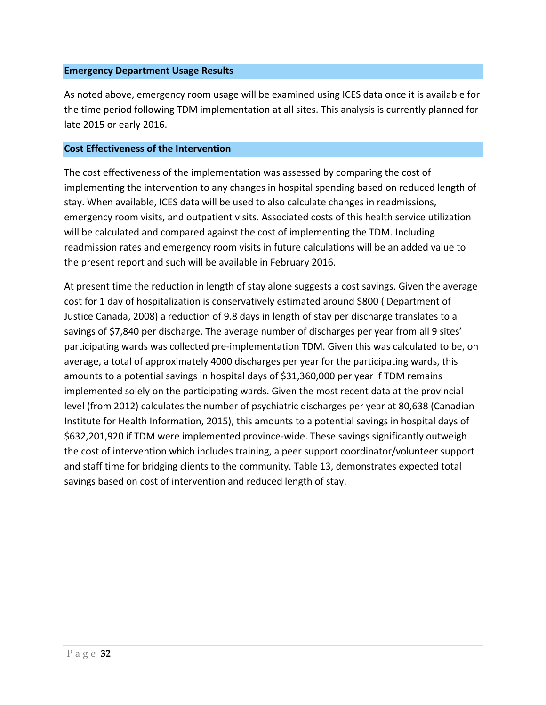#### **Emergency Department Usage Results**

As noted above, emergency room usage will be examined using ICES data once it is available for the time period following TDM implementation at all sites. This analysis is currently planned for late 2015 or early 2016.

#### **Cost Effectiveness of the Intervention**

The cost effectiveness of the implementation was assessed by comparing the cost of implementing the intervention to any changes in hospital spending based on reduced length of stay. When available, ICES data will be used to also calculate changes in readmissions, emergency room visits, and outpatient visits. Associated costs of this health service utilization will be calculated and compared against the cost of implementing the TDM. Including readmission rates and emergency room visits in future calculations will be an added value to the present report and such will be available in February 2016.

At present time the reduction in length of stay alone suggests a cost savings. Given the average cost for 1 day of hospitalization is conservatively estimated around \$800 ( Department of Justice Canada, 2008) a reduction of 9.8 days in length of stay per discharge translates to a savings of \$7,840 per discharge. The average number of discharges per year from all 9 sites' participating wards was collected pre-implementation TDM. Given this was calculated to be, on average, a total of approximately 4000 discharges per year for the participating wards, this amounts to a potential savings in hospital days of \$31,360,000 per year if TDM remains implemented solely on the participating wards. Given the most recent data at the provincial level (from 2012) calculates the number of psychiatric discharges per year at 80,638 (Canadian Institute for Health Information, 2015), this amounts to a potential savings in hospital days of \$632,201,920 if TDM were implemented province-wide. These savings significantly outweigh the cost of intervention which includes training, a peer support coordinator/volunteer support and staff time for bridging clients to the community. Table 13, demonstrates expected total savings based on cost of intervention and reduced length of stay.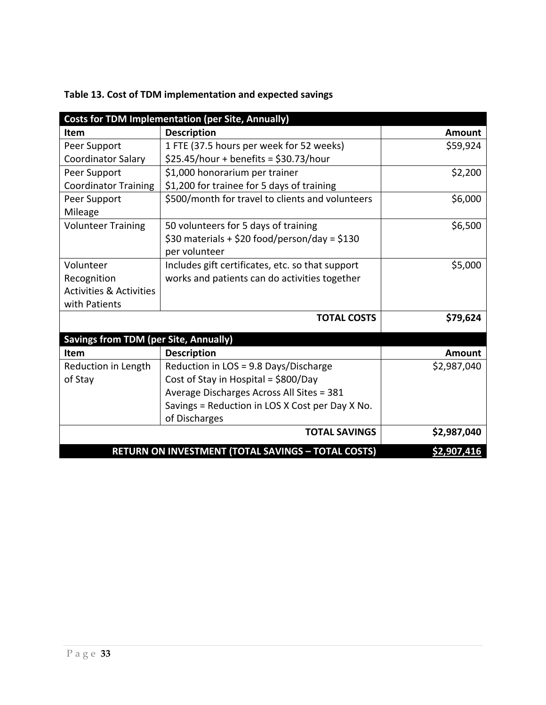|                                              | <b>Costs for TDM Implementation (per Site, Annually)</b>  |               |
|----------------------------------------------|-----------------------------------------------------------|---------------|
| <b>Item</b>                                  | <b>Description</b>                                        | <b>Amount</b> |
| Peer Support                                 | 1 FTE (37.5 hours per week for 52 weeks)                  | \$59,924      |
| <b>Coordinator Salary</b>                    | $$25.45/hour + benefits = $30.73/hour$                    |               |
| Peer Support                                 | \$1,000 honorarium per trainer                            | \$2,200       |
| <b>Coordinator Training</b>                  | \$1,200 for trainee for 5 days of training                |               |
| Peer Support                                 | \$500/month for travel to clients and volunteers          | \$6,000       |
| Mileage                                      |                                                           |               |
| <b>Volunteer Training</b>                    | 50 volunteers for 5 days of training                      | \$6,500       |
|                                              | \$30 materials + \$20 food/person/day = \$130             |               |
|                                              | per volunteer                                             |               |
| Volunteer                                    | Includes gift certificates, etc. so that support          | \$5,000       |
| Recognition                                  | works and patients can do activities together             |               |
| <b>Activities &amp; Activities</b>           |                                                           |               |
| with Patients                                |                                                           |               |
|                                              | <b>TOTAL COSTS</b>                                        | \$79,624      |
| <b>Savings from TDM (per Site, Annually)</b> |                                                           |               |
| <b>Item</b>                                  | <b>Description</b>                                        | Amount        |
| Reduction in Length                          | Reduction in LOS = 9.8 Days/Discharge                     | \$2,987,040   |
| of Stay                                      | Cost of Stay in Hospital = \$800/Day                      |               |
|                                              | Average Discharges Across All Sites = 381                 |               |
|                                              | Savings = Reduction in LOS X Cost per Day X No.           |               |
|                                              | of Discharges                                             |               |
|                                              | <b>TOTAL SAVINGS</b>                                      | \$2,987,040   |
|                                              | <b>RETURN ON INVESTMENT (TOTAL SAVINGS - TOTAL COSTS)</b> | \$2,907,416   |

#### **Table 13. Cost of TDM implementation and expected savings**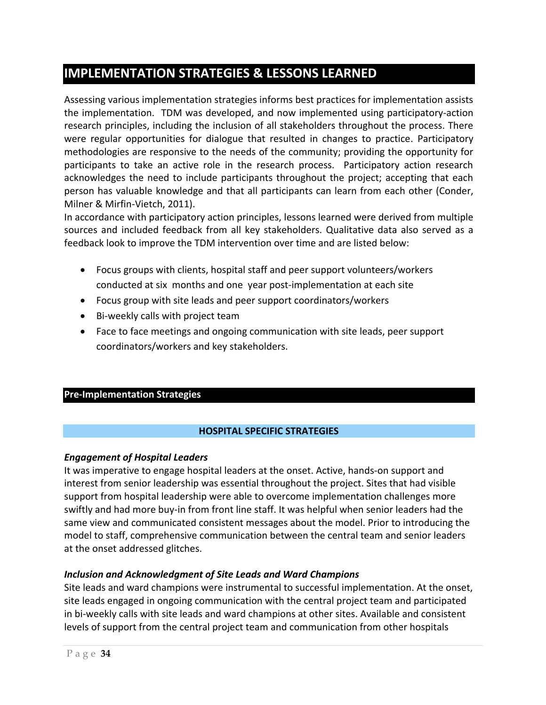### **IMPLEMENTATION STRATEGIES & LESSONS LEARNED**

Assessing various implementation strategies informs best practices for implementation assists the implementation. TDM was developed, and now implemented using participatory-action research principles, including the inclusion of all stakeholders throughout the process. There were regular opportunities for dialogue that resulted in changes to practice. Participatory methodologies are responsive to the needs of the community; providing the opportunity for participants to take an active role in the research process. Participatory action research acknowledges the need to include participants throughout the project; accepting that each person has valuable knowledge and that all participants can learn from each other (Conder, Milner & Mirfin-Vietch, 2011).

In accordance with participatory action principles, lessons learned were derived from multiple sources and included feedback from all key stakeholders. Qualitative data also served as a feedback look to improve the TDM intervention over time and are listed below:

- Focus groups with clients, hospital staff and peer support volunteers/workers conducted at six months and one year post-implementation at each site
- Focus group with site leads and peer support coordinators/workers
- Bi-weekly calls with project team
- Face to face meetings and ongoing communication with site leads, peer support coordinators/workers and key stakeholders.

#### **Pre-Implementation Strategies**

#### **HOSPITAL SPECIFIC STRATEGIES**

#### *Engagement of Hospital Leaders*

It was imperative to engage hospital leaders at the onset. Active, hands-on support and interest from senior leadership was essential throughout the project. Sites that had visible support from hospital leadership were able to overcome implementation challenges more swiftly and had more buy-in from front line staff. It was helpful when senior leaders had the same view and communicated consistent messages about the model. Prior to introducing the model to staff, comprehensive communication between the central team and senior leaders at the onset addressed glitches.

#### *Inclusion and Acknowledgment of Site Leads and Ward Champions*

Site leads and ward champions were instrumental to successful implementation. At the onset, site leads engaged in ongoing communication with the central project team and participated in bi-weekly calls with site leads and ward champions at other sites. Available and consistent levels of support from the central project team and communication from other hospitals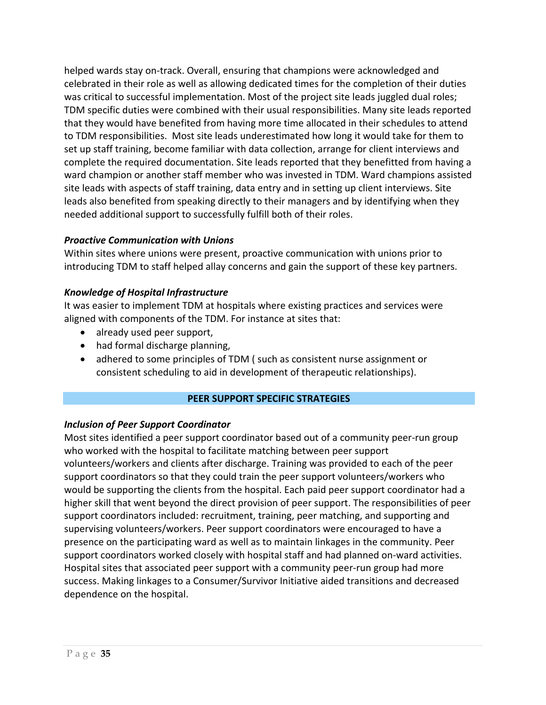helped wards stay on-track. Overall, ensuring that champions were acknowledged and celebrated in their role as well as allowing dedicated times for the completion of their duties was critical to successful implementation. Most of the project site leads juggled dual roles; TDM specific duties were combined with their usual responsibilities. Many site leads reported that they would have benefited from having more time allocated in their schedules to attend to TDM responsibilities. Most site leads underestimated how long it would take for them to set up staff training, become familiar with data collection, arrange for client interviews and complete the required documentation. Site leads reported that they benefitted from having a ward champion or another staff member who was invested in TDM. Ward champions assisted site leads with aspects of staff training, data entry and in setting up client interviews. Site leads also benefited from speaking directly to their managers and by identifying when they needed additional support to successfully fulfill both of their roles.

#### *Proactive Communication with Unions*

Within sites where unions were present, proactive communication with unions prior to introducing TDM to staff helped allay concerns and gain the support of these key partners.

#### *Knowledge of Hospital Infrastructure*

It was easier to implement TDM at hospitals where existing practices and services were aligned with components of the TDM. For instance at sites that:

- already used peer support,
- had formal discharge planning,
- adhered to some principles of TDM ( such as consistent nurse assignment or consistent scheduling to aid in development of therapeutic relationships).

#### **PEER SUPPORT SPECIFIC STRATEGIES**

#### *Inclusion of Peer Support Coordinator*

Most sites identified a peer support coordinator based out of a community peer-run group who worked with the hospital to facilitate matching between peer support volunteers/workers and clients after discharge. Training was provided to each of the peer support coordinators so that they could train the peer support volunteers/workers who would be supporting the clients from the hospital. Each paid peer support coordinator had a higher skill that went beyond the direct provision of peer support. The responsibilities of peer support coordinators included: recruitment, training, peer matching, and supporting and supervising volunteers/workers. Peer support coordinators were encouraged to have a presence on the participating ward as well as to maintain linkages in the community. Peer support coordinators worked closely with hospital staff and had planned on-ward activities. Hospital sites that associated peer support with a community peer-run group had more success. Making linkages to a Consumer/Survivor Initiative aided transitions and decreased dependence on the hospital.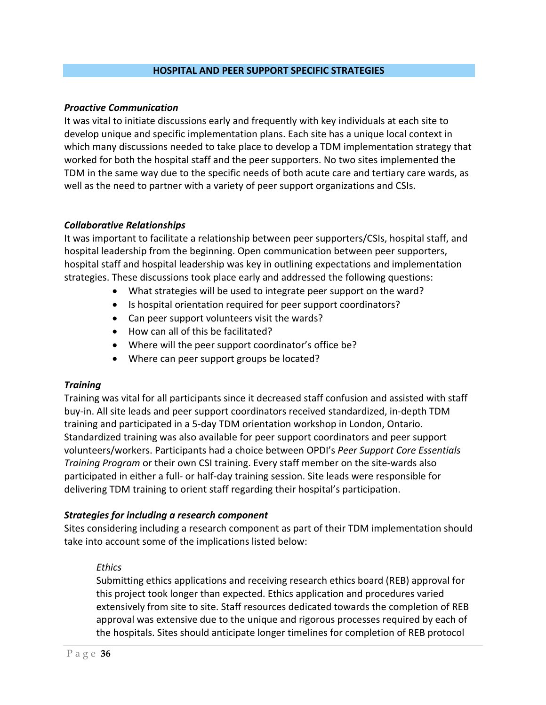#### **HOSPITAL AND PEER SUPPORT SPECIFIC STRATEGIES**

#### *Proactive Communication*

It was vital to initiate discussions early and frequently with key individuals at each site to develop unique and specific implementation plans. Each site has a unique local context in which many discussions needed to take place to develop a TDM implementation strategy that worked for both the hospital staff and the peer supporters. No two sites implemented the TDM in the same way due to the specific needs of both acute care and tertiary care wards, as well as the need to partner with a variety of peer support organizations and CSIs.

#### *Collaborative Relationships*

It was important to facilitate a relationship between peer supporters/CSIs, hospital staff, and hospital leadership from the beginning. Open communication between peer supporters, hospital staff and hospital leadership was key in outlining expectations and implementation strategies. These discussions took place early and addressed the following questions:

- What strategies will be used to integrate peer support on the ward?
- Is hospital orientation required for peer support coordinators?
- Can peer support volunteers visit the wards?
- How can all of this be facilitated?
- Where will the peer support coordinator's office be?
- Where can peer support groups be located?

#### *Training*

Training was vital for all participants since it decreased staff confusion and assisted with staff buy-in. All site leads and peer support coordinators received standardized, in-depth TDM training and participated in a 5-day TDM orientation workshop in London, Ontario. Standardized training was also available for peer support coordinators and peer support volunteers/workers. Participants had a choice between OPDI's *Peer Support Core Essentials Training Program* or their own CSI training. Every staff member on the site-wards also participated in either a full- or half-day training session. Site leads were responsible for delivering TDM training to orient staff regarding their hospital's participation.

#### *Strategies for including a research component*

Sites considering including a research component as part of their TDM implementation should take into account some of the implications listed below:

#### *Ethics*

Submitting ethics applications and receiving research ethics board (REB) approval for this project took longer than expected. Ethics application and procedures varied extensively from site to site. Staff resources dedicated towards the completion of REB approval was extensive due to the unique and rigorous processes required by each of the hospitals. Sites should anticipate longer timelines for completion of REB protocol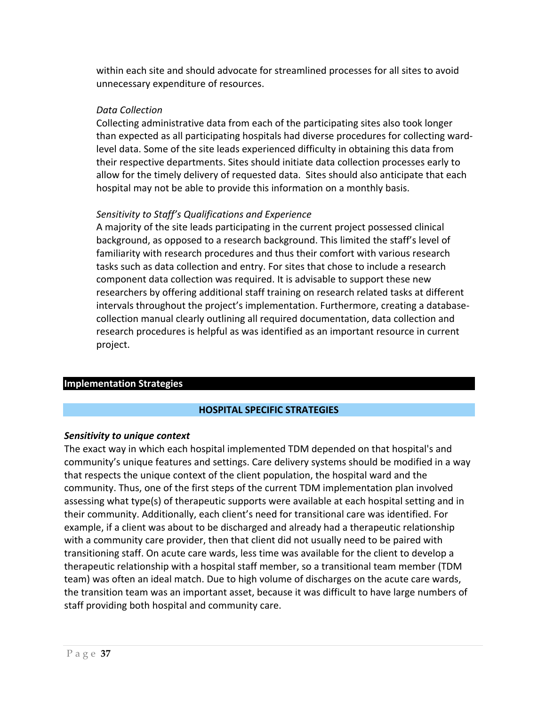within each site and should advocate for streamlined processes for all sites to avoid unnecessary expenditure of resources.

#### *Data Collection*

Collecting administrative data from each of the participating sites also took longer than expected as all participating hospitals had diverse procedures for collecting wardlevel data. Some of the site leads experienced difficulty in obtaining this data from their respective departments. Sites should initiate data collection processes early to allow for the timely delivery of requested data. Sites should also anticipate that each hospital may not be able to provide this information on a monthly basis.

#### *Sensitivity to Staff's Qualifications and Experience*

A majority of the site leads participating in the current project possessed clinical background, as opposed to a research background. This limited the staff's level of familiarity with research procedures and thus their comfort with various research tasks such as data collection and entry. For sites that chose to include a research component data collection was required. It is advisable to support these new researchers by offering additional staff training on research related tasks at different intervals throughout the project's implementation. Furthermore, creating a databasecollection manual clearly outlining all required documentation, data collection and research procedures is helpful as was identified as an important resource in current project.

#### **Implementation Strategies**

#### **HOSPITAL SPECIFIC STRATEGIES**

#### *Sensitivity to unique context*

The exact way in which each hospital implemented TDM depended on that hospital's and community's unique features and settings. Care delivery systems should be modified in a way that respects the unique context of the client population, the hospital ward and the community. Thus, one of the first steps of the current TDM implementation plan involved assessing what type(s) of therapeutic supports were available at each hospital setting and in their community. Additionally, each client's need for transitional care was identified. For example, if a client was about to be discharged and already had a therapeutic relationship with a community care provider, then that client did not usually need to be paired with transitioning staff. On acute care wards, less time was available for the client to develop a therapeutic relationship with a hospital staff member, so a transitional team member (TDM team) was often an ideal match. Due to high volume of discharges on the acute care wards, the transition team was an important asset, because it was difficult to have large numbers of staff providing both hospital and community care.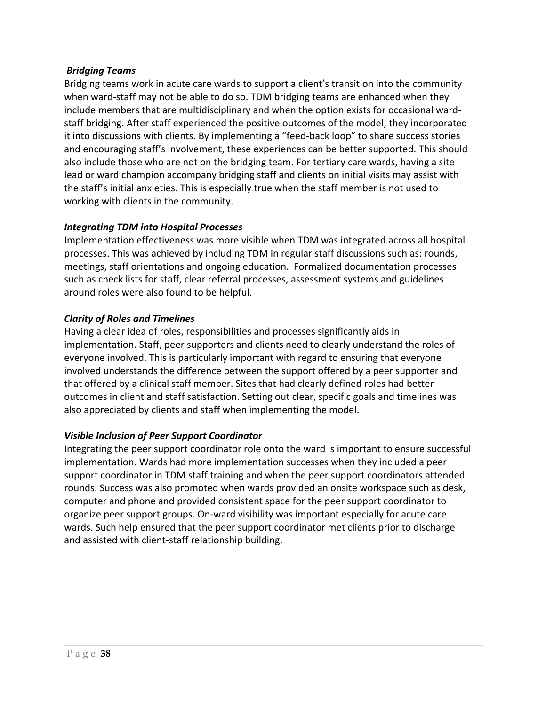#### *Bridging Teams*

Bridging teams work in acute care wards to support a client's transition into the community when ward-staff may not be able to do so. TDM bridging teams are enhanced when they include members that are multidisciplinary and when the option exists for occasional wardstaff bridging. After staff experienced the positive outcomes of the model, they incorporated it into discussions with clients. By implementing a "feed-back loop" to share success stories and encouraging staff's involvement, these experiences can be better supported. This should also include those who are not on the bridging team. For tertiary care wards, having a site lead or ward champion accompany bridging staff and clients on initial visits may assist with the staff's initial anxieties. This is especially true when the staff member is not used to working with clients in the community.

#### *Integrating TDM into Hospital Processes*

Implementation effectiveness was more visible when TDM was integrated across all hospital processes. This was achieved by including TDM in regular staff discussions such as: rounds, meetings, staff orientations and ongoing education. Formalized documentation processes such as check lists for staff, clear referral processes, assessment systems and guidelines around roles were also found to be helpful.

#### *Clarity of Roles and Timelines*

Having a clear idea of roles, responsibilities and processes significantly aids in implementation. Staff, peer supporters and clients need to clearly understand the roles of everyone involved. This is particularly important with regard to ensuring that everyone involved understands the difference between the support offered by a peer supporter and that offered by a clinical staff member. Sites that had clearly defined roles had better outcomes in client and staff satisfaction. Setting out clear, specific goals and timelines was also appreciated by clients and staff when implementing the model.

#### *Visible Inclusion of Peer Support Coordinator*

Integrating the peer support coordinator role onto the ward is important to ensure successful implementation. Wards had more implementation successes when they included a peer support coordinator in TDM staff training and when the peer support coordinators attended rounds. Success was also promoted when wards provided an onsite workspace such as desk, computer and phone and provided consistent space for the peer support coordinator to organize peer support groups. On-ward visibility was important especially for acute care wards. Such help ensured that the peer support coordinator met clients prior to discharge and assisted with client-staff relationship building.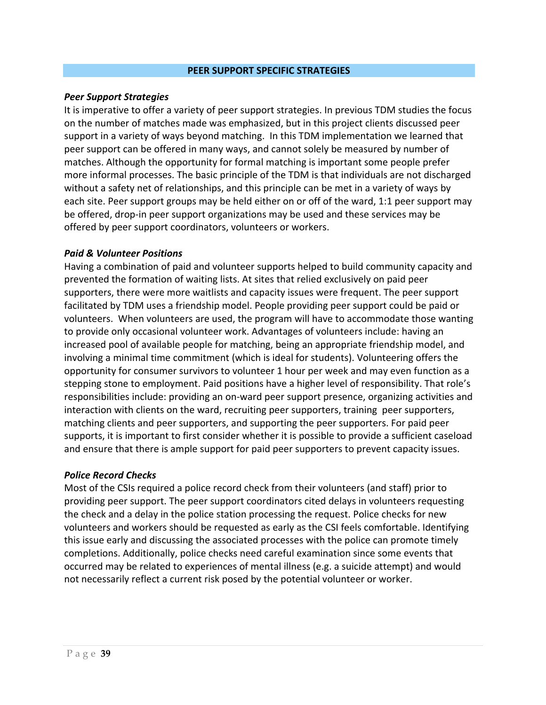#### **PEER SUPPORT SPECIFIC STRATEGIES**

#### *Peer Support Strategies*

It is imperative to offer a variety of peer support strategies. In previous TDM studies the focus on the number of matches made was emphasized, but in this project clients discussed peer support in a variety of ways beyond matching. In this TDM implementation we learned that peer support can be offered in many ways, and cannot solely be measured by number of matches. Although the opportunity for formal matching is important some people prefer more informal processes. The basic principle of the TDM is that individuals are not discharged without a safety net of relationships, and this principle can be met in a variety of ways by each site. Peer support groups may be held either on or off of the ward, 1:1 peer support may be offered, drop-in peer support organizations may be used and these services may be offered by peer support coordinators, volunteers or workers.

#### *Paid & Volunteer Positions*

Having a combination of paid and volunteer supports helped to build community capacity and prevented the formation of waiting lists. At sites that relied exclusively on paid peer supporters, there were more waitlists and capacity issues were frequent. The peer support facilitated by TDM uses a friendship model. People providing peer support could be paid or volunteers. When volunteers are used, the program will have to accommodate those wanting to provide only occasional volunteer work. Advantages of volunteers include: having an increased pool of available people for matching, being an appropriate friendship model, and involving a minimal time commitment (which is ideal for students). Volunteering offers the opportunity for consumer survivors to volunteer 1 hour per week and may even function as a stepping stone to employment. Paid positions have a higher level of responsibility. That role's responsibilities include: providing an on-ward peer support presence, organizing activities and interaction with clients on the ward, recruiting peer supporters, training peer supporters, matching clients and peer supporters, and supporting the peer supporters. For paid peer supports, it is important to first consider whether it is possible to provide a sufficient caseload and ensure that there is ample support for paid peer supporters to prevent capacity issues.

#### *Police Record Checks*

Most of the CSIs required a police record check from their volunteers (and staff) prior to providing peer support. The peer support coordinators cited delays in volunteers requesting the check and a delay in the police station processing the request. Police checks for new volunteers and workers should be requested as early as the CSI feels comfortable. Identifying this issue early and discussing the associated processes with the police can promote timely completions. Additionally, police checks need careful examination since some events that occurred may be related to experiences of mental illness (e.g. a suicide attempt) and would not necessarily reflect a current risk posed by the potential volunteer or worker.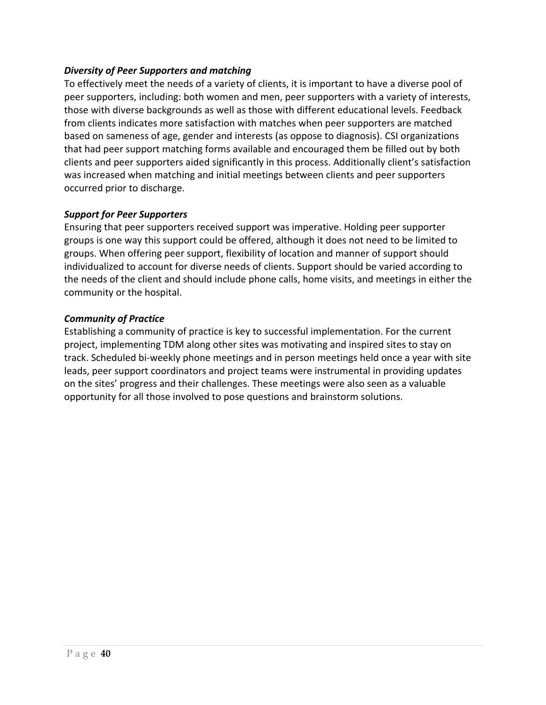#### *Diversity of Peer Supporters and matching*

To effectively meet the needs of a variety of clients, it is important to have a diverse pool of peer supporters, including: both women and men, peer supporters with a variety of interests, those with diverse backgrounds as well as those with different educational levels. Feedback from clients indicates more satisfaction with matches when peer supporters are matched based on sameness of age, gender and interests (as oppose to diagnosis). CSI organizations that had peer support matching forms available and encouraged them be filled out by both clients and peer supporters aided significantly in this process. Additionally client's satisfaction was increased when matching and initial meetings between clients and peer supporters occurred prior to discharge.

#### *Support for Peer Supporters*

Ensuring that peer supporters received support was imperative. Holding peer supporter groups is one way this support could be offered, although it does not need to be limited to groups. When offering peer support, flexibility of location and manner of support should individualized to account for diverse needs of clients. Support should be varied according to the needs of the client and should include phone calls, home visits, and meetings in either the community or the hospital.

#### *Community of Practice*

Establishing a community of practice is key to successful implementation. For the current project, implementing TDM along other sites was motivating and inspired sites to stay on track. Scheduled bi-weekly phone meetings and in person meetings held once a year with site leads, peer support coordinators and project teams were instrumental in providing updates on the sites' progress and their challenges. These meetings were also seen as a valuable opportunity for all those involved to pose questions and brainstorm solutions.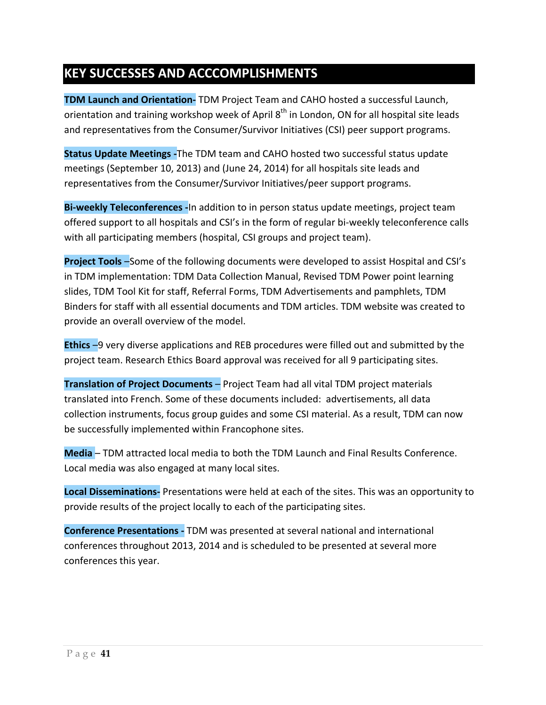## **KEY SUCCESSES AND ACCCOMPLISHMENTS**

**TDM Launch and Orientation-** TDM Project Team and CAHO hosted a successful Launch, orientation and training workshop week of April  $8<sup>th</sup>$  in London, ON for all hospital site leads and representatives from the Consumer/Survivor Initiatives (CSI) peer support programs.

**Status Update Meetings -**The TDM team and CAHO hosted two successful status update meetings (September 10, 2013) and (June 24, 2014) for all hospitals site leads and representatives from the Consumer/Survivor Initiatives/peer support programs.

**Bi-weekly Teleconferences -**In addition to in person status update meetings, project team offered support to all hospitals and CSI's in the form of regular bi-weekly teleconference calls with all participating members (hospital, CSI groups and project team).

**Project Tools** –Some of the following documents were developed to assist Hospital and CSI's in TDM implementation: TDM Data Collection Manual, Revised TDM Power point learning slides, TDM Tool Kit for staff, Referral Forms, TDM Advertisements and pamphlets, TDM Binders for staff with all essential documents and TDM articles. TDM website was created to provide an overall overview of the model.

**Ethics** –9 very diverse applications and REB procedures were filled out and submitted by the project team. Research Ethics Board approval was received for all 9 participating sites.

**Translation of Project Documents** – Project Team had all vital TDM project materials translated into French. Some of these documents included: advertisements, all data collection instruments, focus group guides and some CSI material. As a result, TDM can now be successfully implemented within Francophone sites.

**Media** – TDM attracted local media to both the TDM Launch and Final Results Conference. Local media was also engaged at many local sites.

**Local Disseminations-** Presentations were held at each of the sites. This was an opportunity to provide results of the project locally to each of the participating sites.

**Conference Presentations -** TDM was presented at several national and international conferences throughout 2013, 2014 and is scheduled to be presented at several more conferences this year.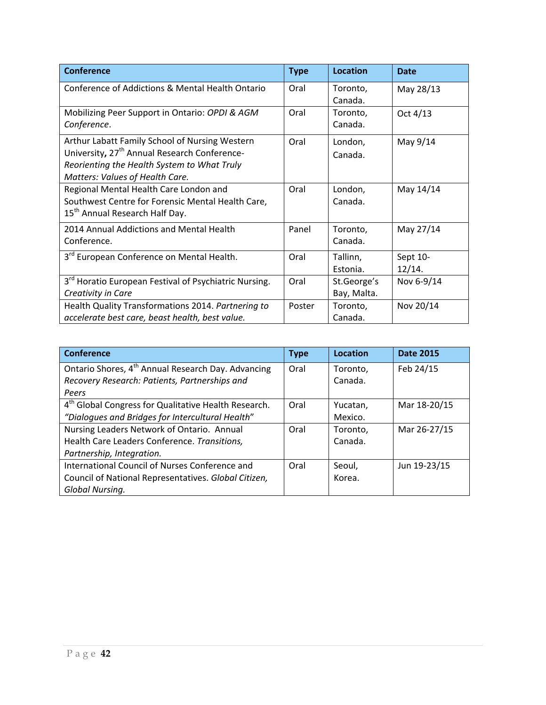| <b>Conference</b>                                                                                                                                                                            | <b>Type</b> | <b>Location</b>            | <b>Date</b>        |
|----------------------------------------------------------------------------------------------------------------------------------------------------------------------------------------------|-------------|----------------------------|--------------------|
| Conference of Addictions & Mental Health Ontario                                                                                                                                             | Oral        | Toronto,<br>Canada.        | May 28/13          |
| Mobilizing Peer Support in Ontario: OPDI & AGM<br>Conference.                                                                                                                                | Oral        | Toronto,<br>Canada.        | Oct 4/13           |
| Arthur Labatt Family School of Nursing Western<br>University, 27 <sup>th</sup> Annual Research Conference-<br>Reorienting the Health System to What Truly<br>Matters: Values of Health Care. | Oral        | London,<br>Canada.         | May 9/14           |
| Regional Mental Health Care London and<br>Southwest Centre for Forensic Mental Health Care,<br>15 <sup>th</sup> Annual Research Half Day.                                                    | Oral        | London,<br>Canada.         | May 14/14          |
| 2014 Annual Addictions and Mental Health<br>Conference.                                                                                                                                      | Panel       | Toronto,<br>Canada.        | May 27/14          |
| 3 <sup>rd</sup> European Conference on Mental Health.                                                                                                                                        | Oral        | Tallinn,<br>Estonia.       | Sept 10-<br>12/14. |
| 3 <sup>rd</sup> Horatio European Festival of Psychiatric Nursing.<br>Creativity in Care                                                                                                      | Oral        | St.George's<br>Bay, Malta. | Nov 6-9/14         |
| Health Quality Transformations 2014. Partnering to<br>accelerate best care, beast health, best value.                                                                                        | Poster      | Toronto,<br>Canada.        | Nov 20/14          |

| <b>Conference</b>                                                | <b>Type</b> | Location | <b>Date 2015</b> |
|------------------------------------------------------------------|-------------|----------|------------------|
| Ontario Shores, 4 <sup>th</sup> Annual Research Day. Advancing   | Oral        | Toronto. | Feb 24/15        |
| Recovery Research: Patients, Partnerships and                    |             | Canada.  |                  |
| Peers                                                            |             |          |                  |
| 4 <sup>th</sup> Global Congress for Qualitative Health Research. | Oral        | Yucatan, | Mar 18-20/15     |
| "Dialogues and Bridges for Intercultural Health"                 |             | Mexico.  |                  |
| Nursing Leaders Network of Ontario. Annual                       | Oral        | Toronto. | Mar 26-27/15     |
| Health Care Leaders Conference. Transitions,                     |             | Canada.  |                  |
| Partnership, Integration.                                        |             |          |                  |
| International Council of Nurses Conference and                   | Oral        | Seoul,   | Jun 19-23/15     |
| Council of National Representatives. Global Citizen,             |             | Korea.   |                  |
| Global Nursing.                                                  |             |          |                  |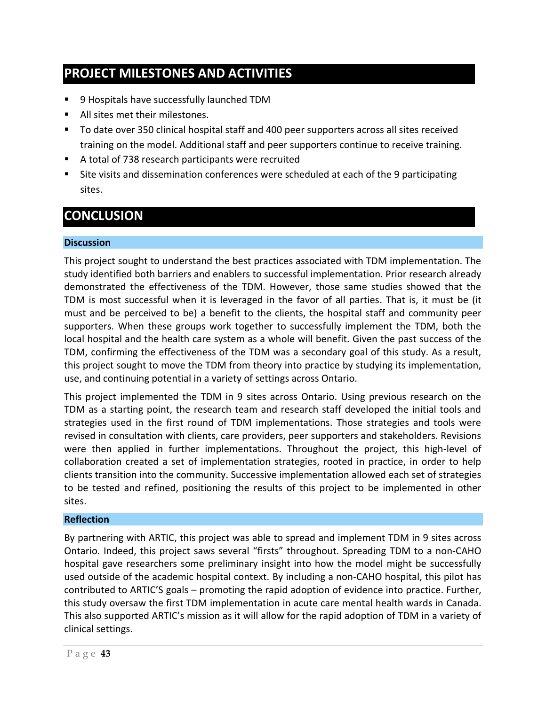## **PROJECT MILESTONES AND ACTIVITIES**

- 9 Hospitals have successfully launched TDM
- All sites met their milestones.
- To date over 350 clinical hospital staff and 400 peer supporters across all sites received training on the model. Additional staff and peer supporters continue to receive training.
- A total of 738 research participants were recruited
- Site visits and dissemination conferences were scheduled at each of the 9 participating sites.

## **CONCLUSION**

#### **Discussion**

This project sought to understand the best practices associated with TDM implementation. The study identified both barriers and enablers to successful implementation. Prior research already demonstrated the effectiveness of the TDM. However, those same studies showed that the TDM is most successful when it is leveraged in the favor of all parties. That is, it must be (it must and be perceived to be) a benefit to the clients, the hospital staff and community peer supporters. When these groups work together to successfully implement the TDM, both the local hospital and the health care system as a whole will benefit. Given the past success of the TDM, confirming the effectiveness of the TDM was a secondary goal of this study. As a result, this project sought to move the TDM from theory into practice by studying its implementation, use, and continuing potential in a variety of settings across Ontario.

This project implemented the TDM in 9 sites across Ontario. Using previous research on the TDM as a starting point, the research team and research staff developed the initial tools and strategies used in the first round of TDM implementations. Those strategies and tools were revised in consultation with clients, care providers, peer supporters and stakeholders. Revisions were then applied in further implementations. Throughout the project, this high-level of collaboration created a set of implementation strategies, rooted in practice, in order to help clients transition into the community. Successive implementation allowed each set of strategies to be tested and refined, positioning the results of this project to be implemented in other sites.

#### **Reflection**

By partnering with ARTIC, this project was able to spread and implement TDM in 9 sites across Ontario. Indeed, this project saws several "firsts" throughout. Spreading TDM to a non-CAHO hospital gave researchers some preliminary insight into how the model might be successfully used outside of the academic hospital context. By including a non-CAHO hospital, this pilot has contributed to ARTIC'S goals – promoting the rapid adoption of evidence into practice. Further, this study oversaw the first TDM implementation in acute care mental health wards in Canada. This also supported ARTIC's mission as it will allow for the rapid adoption of TDM in a variety of clinical settings.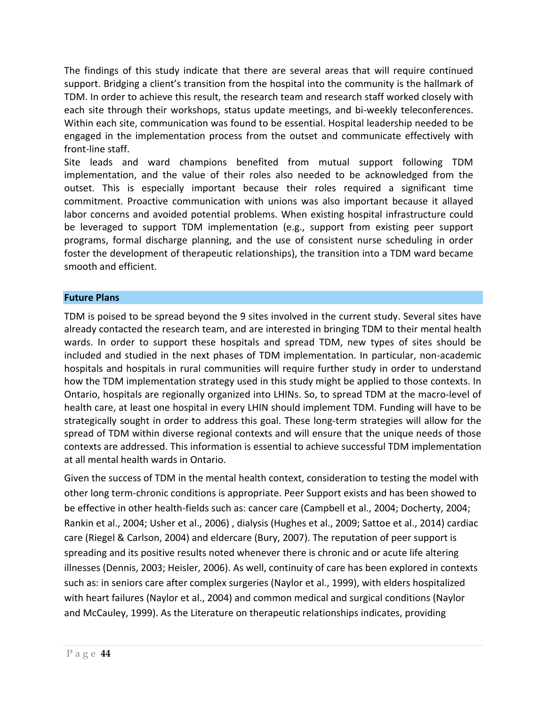The findings of this study indicate that there are several areas that will require continued support. Bridging a client's transition from the hospital into the community is the hallmark of TDM. In order to achieve this result, the research team and research staff worked closely with each site through their workshops, status update meetings, and bi-weekly teleconferences. Within each site, communication was found to be essential. Hospital leadership needed to be engaged in the implementation process from the outset and communicate effectively with front-line staff.

Site leads and ward champions benefited from mutual support following TDM implementation, and the value of their roles also needed to be acknowledged from the outset. This is especially important because their roles required a significant time commitment. Proactive communication with unions was also important because it allayed labor concerns and avoided potential problems. When existing hospital infrastructure could be leveraged to support TDM implementation (e.g., support from existing peer support programs, formal discharge planning, and the use of consistent nurse scheduling in order foster the development of therapeutic relationships), the transition into a TDM ward became smooth and efficient.

#### **Future Plans**

TDM is poised to be spread beyond the 9 sites involved in the current study. Several sites have already contacted the research team, and are interested in bringing TDM to their mental health wards. In order to support these hospitals and spread TDM, new types of sites should be included and studied in the next phases of TDM implementation. In particular, non-academic hospitals and hospitals in rural communities will require further study in order to understand how the TDM implementation strategy used in this study might be applied to those contexts. In Ontario, hospitals are regionally organized into LHINs. So, to spread TDM at the macro-level of health care, at least one hospital in every LHIN should implement TDM. Funding will have to be strategically sought in order to address this goal. These long-term strategies will allow for the spread of TDM within diverse regional contexts and will ensure that the unique needs of those contexts are addressed. This information is essential to achieve successful TDM implementation at all mental health wards in Ontario.

Given the success of TDM in the mental health context, consideration to testing the model with other long term-chronic conditions is appropriate. Peer Support exists and has been showed to be effective in other health-fields such as: cancer care (Campbell et al., 2004; Docherty, 2004; Rankin et al., 2004; Usher et al., 2006) , dialysis (Hughes et al., 2009; Sattoe et al., 2014) cardiac care (Riegel & Carlson, 2004) and eldercare (Bury, 2007). The reputation of peer support is spreading and its positive results noted whenever there is chronic and or acute life altering illnesses (Dennis, 2003; Heisler, 2006). As well, continuity of care has been explored in contexts such as: in seniors care after complex surgeries (Naylor et al., 1999), with elders hospitalized with heart failures (Naylor et al., 2004) and common medical and surgical conditions (Naylor and McCauley, 1999). As the Literature on therapeutic relationships indicates, providing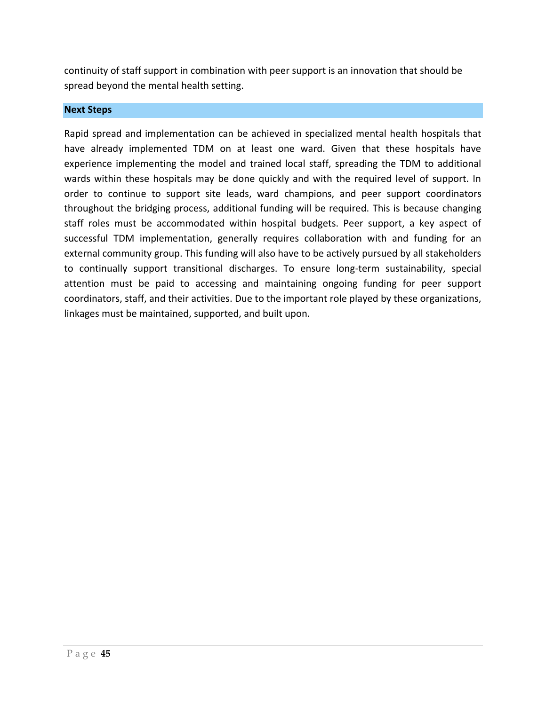continuity of staff support in combination with peer support is an innovation that should be spread beyond the mental health setting.

#### **Next Steps**

Rapid spread and implementation can be achieved in specialized mental health hospitals that have already implemented TDM on at least one ward. Given that these hospitals have experience implementing the model and trained local staff, spreading the TDM to additional wards within these hospitals may be done quickly and with the required level of support. In order to continue to support site leads, ward champions, and peer support coordinators throughout the bridging process, additional funding will be required. This is because changing staff roles must be accommodated within hospital budgets. Peer support, a key aspect of successful TDM implementation, generally requires collaboration with and funding for an external community group. This funding will also have to be actively pursued by all stakeholders to continually support transitional discharges. To ensure long-term sustainability, special attention must be paid to accessing and maintaining ongoing funding for peer support coordinators, staff, and their activities. Due to the important role played by these organizations, linkages must be maintained, supported, and built upon.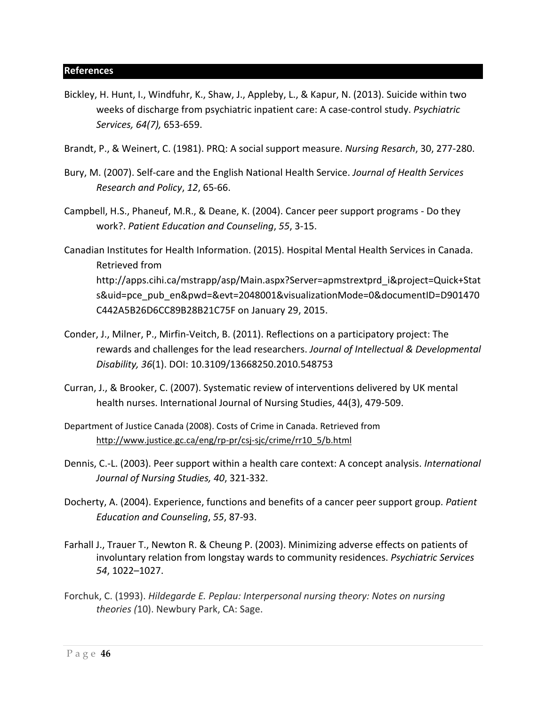- Bickley, H. Hunt, I., Windfuhr, K., Shaw, J., Appleby, L., & Kapur, N. (2013). Suicide within two weeks of discharge from psychiatric inpatient care: A case-control study. *Psychiatric Services, 64(7),* 653-659.
- Brandt, P., & Weinert, C. (1981). PRQ: A social support measure. *Nursing Resarch*, 30, 277-280.
- Bury, M. (2007). Self-care and the English National Health Service. *Journal of Health Services Research and Policy*, *12*, 65-66.
- Campbell, H.S., Phaneuf, M.R., & Deane, K. (2004). Cancer peer support programs Do they work?. *Patient Education and Counseling*, *55*, 3-15.
- Canadian Institutes for Health Information. (2015). Hospital Mental Health Services in Canada. Retrieved from [http://apps.cihi.ca/mstrapp/asp/Main.aspx?Server=apmstrextprd\\_i&project=Quick+Stat](http://apps.cihi.ca/mstrapp/asp/Main.aspx?Server=apmstrextprd_i&project=Quick+Stats&uid=pce_pub_en&pwd=&evt=2048001&visualizationMode=0&documentID=D901470C442A5B26D6CC89B28B21C75F) [s&uid=pce\\_pub\\_en&pwd=&evt=2048001&visualizationMode=0&documentID=D901470](http://apps.cihi.ca/mstrapp/asp/Main.aspx?Server=apmstrextprd_i&project=Quick+Stats&uid=pce_pub_en&pwd=&evt=2048001&visualizationMode=0&documentID=D901470C442A5B26D6CC89B28B21C75F) [C442A5B26D6CC89B28B21C75F](http://apps.cihi.ca/mstrapp/asp/Main.aspx?Server=apmstrextprd_i&project=Quick+Stats&uid=pce_pub_en&pwd=&evt=2048001&visualizationMode=0&documentID=D901470C442A5B26D6CC89B28B21C75F) on January 29, 2015.
- Conder, J., Milner, P., Mirfin-Veitch, B. (2011). Reflections on a participatory project: The rewards and challenges for the lead researchers. *Journal of Intellectual & Developmental Disability, 36*(1). DOI: 10.3109/13668250.2010.548753
- Curran, J., & Brooker, C. (2007). Systematic review of interventions delivered by UK mental health nurses. International Journal of Nursing Studies, 44(3), 479-509.
- Department of Justice Canada (2008). Costs of Crime in Canada. Retrieved from [http://www.justice.gc.ca/eng/rp-pr/csj-sjc/crime/rr10\\_5/b.html](http://www.justice.gc.ca/eng/rp-pr/csj-sjc/crime/rr10_5/b.html)
- Dennis, C.-L. (2003). Peer support within a health care context: A concept analysis. *International Journal of Nursing Studies, 40*, 321-332.
- Docherty, A. (2004). Experience, functions and benefits of a cancer peer support group. *Patient Education and Counseling*, *55*, 87-93.
- Farhall J., Trauer T., Newton R. & Cheung P. (2003). Minimizing adverse effects on patients of involuntary relation from longstay wards to community residences. *Psychiatric Services 54*, 1022–1027.
- Forchuk, C. (1993). *Hildegarde E. Peplau: Interpersonal nursing theory: Notes on nursing theories (*10). Newbury Park, CA: Sage.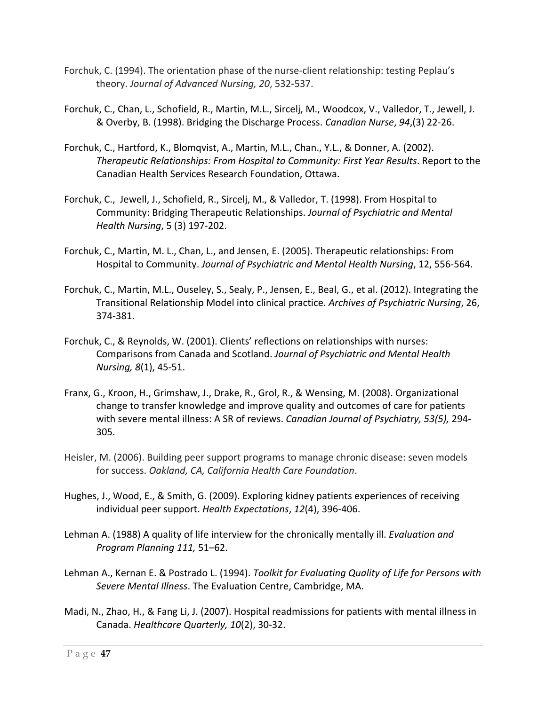- Forchuk, C. (1994). The orientation phase of the nurse-client relationship: testing Peplau's theory. *Journal of Advanced Nursing, 20*, 532-537.
- Forchuk, C., Chan, L., Schofield, R., Martin, M.L., Sircelj, M., Woodcox, V., Valledor, T., Jewell, J. & Overby, B. (1998). Bridging the Discharge Process. *Canadian Nurse*, *94*,(3) 22-26.
- Forchuk, C., Hartford, K., Blomqvist, A., Martin, M.L., Chan., Y.L., & Donner, A. (2002). *Therapeutic Relationships: From Hospital to Community: First Year Results*. Report to the Canadian Health Services Research Foundation, Ottawa.
- Forchuk, C., Jewell, J., Schofield, R., Sircelj, M., & Valledor, T. (1998). From Hospital to Community: Bridging Therapeutic Relationships. *Journal of Psychiatric and Mental Health Nursing*, 5 (3) 197-202.
- Forchuk, C., Martin, M. L., Chan, L., and Jensen, E. (2005). Therapeutic relationships: From Hospital to Community. *Journal of Psychiatric and Mental Health Nursing*, 12, 556-564.
- Forchuk, C., Martin, M.L., Ouseley, S., Sealy, P., Jensen, E., Beal, G., et al. (2012). Integrating the Transitional Relationship Model into clinical practice. *Archives of Psychiatric Nursing*, 26, 374-381.
- Forchuk, C., & Reynolds, W. (2001). Clients' reflections on relationships with nurses: Comparisons from Canada and Scotland. *Journal of Psychiatric and Mental Health Nursing, 8*(1), 45-51.
- Franx, G., Kroon, H., Grimshaw, J., Drake, R., Grol, R., & Wensing, M. (2008). Organizational change to transfer knowledge and improve quality and outcomes of care for patients with severe mental illness: A SR of reviews. *Canadian Journal of Psychiatry, 53(5),* 294- 305.
- Heisler, M. (2006). Building peer support programs to manage chronic disease: seven models for success. *Oakland, CA, California Health Care Foundation*.
- Hughes, J., Wood, E., & Smith, G. (2009). Exploring kidney patients experiences of receiving individual peer support. *Health Expectations*, *12*(4), 396-406.
- Lehman A. (1988) A quality of life interview for the chronically mentally ill. *Evaluation and Program Planning 111,* 51–62.
- Lehman A., Kernan E. & Postrado L. (1994). *Toolkit for Evaluating Quality of Life for Persons with Severe Mental Illness*. The Evaluation Centre, Cambridge, MA.
- Madi, N., Zhao, H., & Fang Li, J. (2007). Hospital readmissions for patients with mental illness in Canada. *Healthcare Quarterly, 10*(2), 30-32.